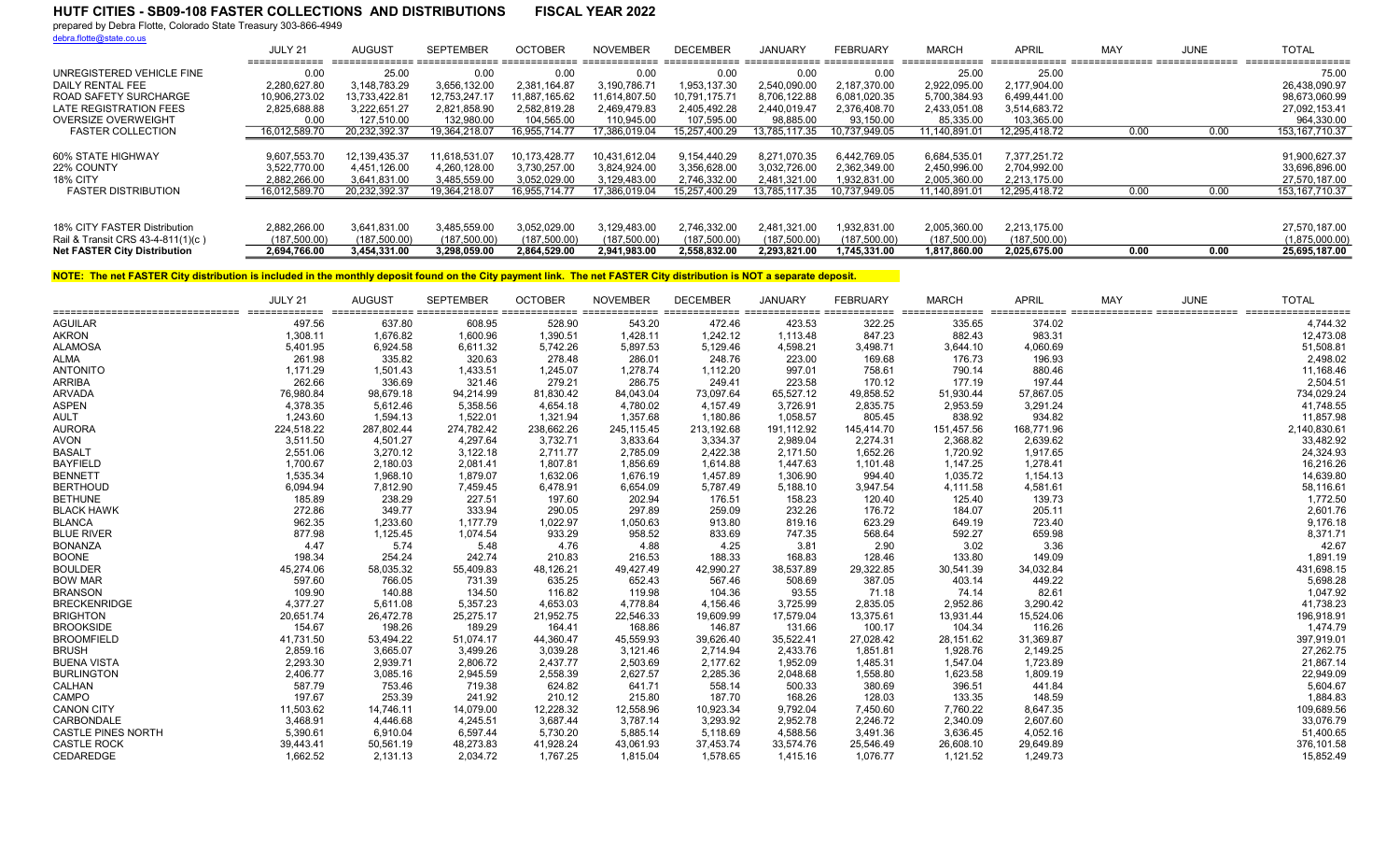prepared by Debra Flotte, Colorado State Treasury 303-866-4949 debra.flotte@state.co.us

|                                     | JULY 21<br>_____________ | AUGUS <sub>1</sub> | <b>SEPTEMBER</b> | <b>OCTOBER</b> | <b>NOVEMBER</b>       | <b>DECEMBER</b>       | JANUARY       | <b>FEBRUARY</b> | MARCH                    | <b>APRI</b>   | MA <sup>\</sup> | JUNE | <b>TOTAL</b><br>------------------- |
|-------------------------------------|--------------------------|--------------------|------------------|----------------|-----------------------|-----------------------|---------------|-----------------|--------------------------|---------------|-----------------|------|-------------------------------------|
| UNREGISTERED VEHICLE FINE           | 0.00                     | 25.00              | 0.00             | 0.00           | _____________<br>0.00 | _____________<br>0.00 | 0.00          | 0.00            | _______________<br>25.00 | 25.00         |                 |      | 75.00                               |
| DAILY RENTAL FEE                    | 2.280.627.80             | 3,148,783.29       | 3,656,132.00     | 2.381.164.87   | 3,190,786.71          | 1.953.137.30          | 2.540.090.00  | 2.187.370.00    | 2,922,095.00             | 2.177.904.00  |                 |      | 26,438,090.97                       |
| <b>ROAD SAFETY SURCHARGE</b>        | 10,906,273.02            | 13.733.422.81      | 12.753.247.17    | 1,887,165.62   | 1.614.807.50          | 10.791.175.71         | 8,706,122.88  | 6,081,020.35    | 5,700,384.93             | 6,499,441.00  |                 |      | 98,673,060.99                       |
| LATE REGISTRATION FEES              | 2,825,688.88             | 3.222.651.27       | 2.821.858.90     | 2.582.819.28   | 2.469.479.83          | 2.405.492.28          | 2.440.019.4   | 2.376.408.70    | 2.433.051.08             | 3,514,683.72  |                 |      | 27.092.153.41                       |
| <b>OVERSIZE OVERWEIGHT</b>          | 0.00                     | 127.510.00         | 132,980.00       | 104,565.00     | 110,945.00            | 107,595.00            | 98,885.00     | 93,150.00       | 85,335.00                | 103,365.00    |                 |      | 964,330.00                          |
| <b>FASTER COLLECTION</b>            | 16.012.589.70            | 20.232.392.37      | 19.364.218.07    | 6.955.714.77   | 7.386.019.04          | 15,257<br>400.29      | 13.785.117.35 | 10.737.949.05   | 1.140.891.01             | 12.295.418.72 | 0.00            | 0.00 | 153, 167, 710. 37                   |
|                                     |                          |                    |                  |                |                       |                       |               |                 |                          |               |                 |      |                                     |
| 60% STATE HIGHWAY                   | 9,607,553.70             | 12, 139, 435. 37   | 11,618,531.07    | 10.173.428.77  | 10,431,612.04         | 9.154.440.29          | 8,271,070.35  | 6,442,769.05    | 6,684,535.01             | 7,377,251.72  |                 |      | 91,900,627.37                       |
| 22% COUNTY                          | 3,522,770.00             | 4,451,126.00       | 4,260,128.00     | 3,730,257.00   | 3,824,924.00          | 3,356,628.00          | 3,032,726.00  | 2,362,349.00    | 2,450,996.00             | 2,704,992.00  |                 |      | 33,696,896.00                       |
| 18% CITY                            | 2.882.266.00             | 3.641.831.00       | 3.485.559.00     | 3.052.029.00   | 3,129,483.00          | 2.746.332.00          | 2.481.321.00  | .932.831.00     | 2,005,360.00             | 2.213.175.00  |                 |      | 27,570,187.00                       |
| <b>FASTER DISTRIBUTION</b>          | 16,012,589.70            | 20,232,392.37      | 19,364,218.07    | 16,955,714.77  | 7,386,019.04          | 15.257.400.29         | 13,785,117.35 | 10.737.949.05   | 11,140,891.01            | 12,295,418.72 | 0.00            | 0.00 | 153, 167, 710.37                    |
|                                     |                          |                    |                  |                |                       |                       |               |                 |                          |               |                 |      |                                     |
| 18% CITY FASTER Distribution        | 2.882.266.00             | 3,641,831.00       | 3.485.559.00     | 3.052.029.00   | 3.129.483.00          | 2.746.332.00          | 2.481.321.00  | .932.831.00     | 2.005.360.00             | 2.213.175.00  |                 |      | 27,570,187.00                       |
| Rail & Transit CRS 43-4-811(1)(c)   | (187,500.00)             | (187, 500.00)      | (187,500.00)     | (187,500.00)   | (187, 500.00)         | (187,500.00)          | (187,500.00)  | (187,500.00)    | (187,500.00)             | (187,500.00)  |                 |      | (1,875,000.00)                      |
| <b>Net FASTER City Distribution</b> | 2.694.766.00             | 3.454.331.00       | 3.298.059.00     | 2.864.529.00   | 2.941.983.00          | 2.558.832.00          | 2.293.821.00  | 1.745.331.00    | 1.817.860.00             | 2.025.675.00  | 0.00            | 0.00 | 25,695,187.00                       |

|                           | JULY 21    | <b>AUGUST</b> | <b>SEPTEMBER</b> | <b>OCTOBER</b> | <b>NOVEMBER</b> | <b>DECEMBER</b> | <b>JANUARY</b> | <b>FEBRUARY</b> | <b>MARCH</b> | <b>APRIL</b> | MAY | <b>JUNE</b> | <b>TOTAL</b><br>siticalization conceleration conceleration conceleration conceleration conceleration conceleration conceleration conceleration conceleration conceleration conceleration conceleration conceleration conceleration concelerati |
|---------------------------|------------|---------------|------------------|----------------|-----------------|-----------------|----------------|-----------------|--------------|--------------|-----|-------------|------------------------------------------------------------------------------------------------------------------------------------------------------------------------------------------------------------------------------------------------|
| <b>AGUILAR</b>            | 497.56     | 637.80        | 608.95           | 528.90         | 543.20          | 472.46          | 423.53         | 322.25          | 335.65       | 374.02       |     |             | 4,744.32                                                                                                                                                                                                                                       |
| <b>AKRON</b>              | 1,308.11   | 1,676.82      | 1,600.96         | 1,390.51       | 1,428.11        | 1,242.12        | 1,113.48       | 847.23          | 882.43       | 983.31       |     |             | 12,473.08                                                                                                                                                                                                                                      |
| <b>ALAMOSA</b>            | 5,401.95   | 6,924.58      | 6,611.32         | 5,742.26       | 5,897.53        | 5,129.46        | 4,598.21       | 3,498.71        | 3,644.10     | 4,060.69     |     |             | 51,508.81                                                                                                                                                                                                                                      |
| <b>ALMA</b>               | 261.98     | 335.82        | 320.63           | 278.48         | 286.01          | 248.76          | 223.00         | 169.68          | 176.73       | 196.93       |     |             | 2,498.02                                                                                                                                                                                                                                       |
| <b>ANTONITO</b>           | 1,171.29   | 1,501.43      | 1,433.51         | 1,245.07       | 1,278.74        | 1,112.20        | 997.01         | 758.61          | 790.14       | 880.46       |     |             | 11,168.46                                                                                                                                                                                                                                      |
| <b>ARRIBA</b>             | 262.66     | 336.69        | 321.46           | 279.21         | 286.75          | 249.41          | 223.58         | 170.12          | 177.19       | 197.44       |     |             | 2,504.51                                                                                                                                                                                                                                       |
| <b>ARVADA</b>             | 76,980.84  | 98,679.18     | 94,214.99        | 81,830.42      | 84,043.04       | 73,097.64       | 65,527.12      | 49,858.52       | 51,930.44    | 57,867.05    |     |             | 734,029.24                                                                                                                                                                                                                                     |
| <b>ASPEN</b>              | 4,378.35   | 5,612.46      | 5,358.56         | 4,654.18       | 4,780.02        | 4,157.49        | 3,726.91       | 2,835.75        | 2,953.59     | 3,291.24     |     |             | 41,748.55                                                                                                                                                                                                                                      |
| <b>AULT</b>               | 1,243.60   | 1,594.13      | 1,522.01         | 1,321.94       | 1,357.68        | 1,180.86        | 1.058.57       | 805.45          | 838.92       | 934.82       |     |             | 11,857.98                                                                                                                                                                                                                                      |
| <b>AURORA</b>             | 224,518.22 | 287,802.44    | 274,782.42       | 238,662.26     | 245,115.45      | 213,192.68      | 191,112.92     | 145,414.70      | 151,457.56   | 168,771.96   |     |             | 2,140,830.61                                                                                                                                                                                                                                   |
| <b>AVON</b>               | 3,511.50   | 4,501.27      | 4,297.64         | 3,732.71       | 3,833.64        | 3,334.37        | 2,989.04       | 2,274.31        | 2,368.82     | 2,639.62     |     |             | 33,482.92                                                                                                                                                                                                                                      |
| <b>BASALT</b>             | 2,551.06   | 3.270.12      | 3.122.18         | 2.711.77       | 2.785.09        | 2.422.38        | 2,171.50       | 1.652.26        | 1,720.92     | 1,917.65     |     |             | 24,324.93                                                                                                                                                                                                                                      |
| <b>BAYFIELD</b>           | 1,700.67   | 2,180.03      | 2,081.41         | 1,807.81       | 1,856.69        | 1,614.88        | 1,447.63       | 1,101.48        | 1,147.25     | 1,278.41     |     |             | 16,216.26                                                                                                                                                                                                                                      |
| <b>BENNETT</b>            | 1,535.34   | 1,968.10      | 1,879.07         | 1,632.06       | 1,676.19        | 1,457.89        | 1,306.90       | 994.40          | 1,035.72     | 1,154.13     |     |             | 14,639.80                                                                                                                                                                                                                                      |
| <b>BERTHOUD</b>           | 6,094.94   | 7.812.90      | 7,459.45         | 6.478.91       | 6,654.09        | 5.787.49        | 5,188.10       | 3,947.54        | 4,111.58     | 4,581.61     |     |             | 58,116.61                                                                                                                                                                                                                                      |
| <b>BETHUNE</b>            | 185.89     | 238.29        | 227.51           | 197.60         | 202.94          | 176.51          | 158.23         | 120.40          | 125.40       | 139.73       |     |             | 1,772.50                                                                                                                                                                                                                                       |
| <b>BLACK HAWK</b>         | 272.86     | 349.77        | 333.94           | 290.05         | 297.89          | 259.09          | 232.26         | 176.72          | 184.07       | 205.11       |     |             | 2,601.76                                                                                                                                                                                                                                       |
| <b>BLANCA</b>             | 962.35     | 1.233.60      | 1.177.79         | 1,022.97       | 1,050.63        | 913.80          | 819.16         | 623.29          | 649.19       | 723.40       |     |             | 9,176.18                                                                                                                                                                                                                                       |
| <b>BLUE RIVER</b>         | 877.98     | 1,125.45      | 1,074.54         | 933.29         | 958.52          | 833.69          | 747.35         | 568.64          | 592.27       | 659.98       |     |             | 8,371.71                                                                                                                                                                                                                                       |
| <b>BONANZA</b>            | 4.47       | 5.74          | 5.48             | 4.76           | 4.88            | 4.25            | 3.81           | 2.90            | 3.02         | 3.36         |     |             | 42.67                                                                                                                                                                                                                                          |
| <b>BOONE</b>              | 198.34     | 254.24        | 242.74           | 210.83         | 216.53          | 188.33          | 168.83         | 128.46          | 133.80       | 149.09       |     |             | 1,891.19                                                                                                                                                                                                                                       |
| <b>BOULDER</b>            | 45,274.06  | 58,035.32     | 55,409.83        | 48,126.21      | 49,427.49       | 42,990.27       | 38,537.89      | 29,322.85       | 30,541.39    | 34,032.84    |     |             | 431,698.15                                                                                                                                                                                                                                     |
| <b>BOW MAR</b>            | 597.60     | 766.05        | 731.39           | 635.25         | 652.43          | 567.46          | 508.69         | 387.05          | 403.14       | 449.22       |     |             | 5,698.28                                                                                                                                                                                                                                       |
| <b>BRANSON</b>            | 109.90     | 140.88        | 134.50           | 116.82         | 119.98          | 104.36          | 93.55          | 71.18           | 74.14        | 82.61        |     |             | 1,047.92                                                                                                                                                                                                                                       |
| <b>BRECKENRIDGE</b>       | 4,377.27   | 5,611.08      | 5,357.23         | 4,653.03       | 4,778.84        | 4,156.46        | 3,725.99       | 2,835.05        | 2,952.86     | 3,290.42     |     |             | 41,738.23                                                                                                                                                                                                                                      |
| <b>BRIGHTON</b>           | 20,651.74  | 26,472.78     | 25,275.17        | 21,952.75      | 22,546.33       | 19,609.99       | 17,579.04      | 13,375.61       | 13,931.44    | 15,524.06    |     |             | 196,918.91                                                                                                                                                                                                                                     |
| <b>BROOKSIDE</b>          | 154.67     | 198.26        | 189.29           | 164.41         | 168.86          | 146.87          | 131.66         | 100.17          | 104.34       | 116.26       |     |             | 1,474.79                                                                                                                                                                                                                                       |
| <b>BROOMFIELD</b>         | 41,731.50  | 53,494.22     | 51,074.17        | 44,360.47      | 45,559.93       | 39,626.40       | 35,522.41      | 27,028.42       | 28,151.62    | 31,369.87    |     |             | 397,919.01                                                                                                                                                                                                                                     |
| <b>BRUSH</b>              | 2,859.16   | 3,665.07      | 3,499.26         | 3,039.28       | 3,121.46        | 2,714.94        | 2,433.76       | 1,851.81        | 1,928.76     | 2,149.25     |     |             | 27,262.75                                                                                                                                                                                                                                      |
| <b>BUENA VISTA</b>        | 2,293.30   | 2.939.71      | 2,806.72         | 2,437.77       | 2,503.69        | 2,177.62        | 1,952.09       | 1,485.31        | 1,547.04     | 1,723.89     |     |             | 21,867.14                                                                                                                                                                                                                                      |
| <b>BURLINGTON</b>         | 2,406.77   | 3,085.16      | 2,945.59         | 2,558.39       | 2,627.57        | 2,285.36        | 2,048.68       | 1,558.80        | 1,623.58     | 1,809.19     |     |             | 22,949.09                                                                                                                                                                                                                                      |
| CALHAN                    | 587.79     | 753.46        | 719.38           | 624.82         | 641.71          | 558.14          | 500.33         | 380.69          | 396.51       | 441.84       |     |             | 5,604.67                                                                                                                                                                                                                                       |
| <b>CAMPO</b>              | 197.67     | 253.39        | 241.92           | 210.12         | 215.80          | 187.70          | 168.26         | 128.03          | 133.35       | 148.59       |     |             | 1,884.83                                                                                                                                                                                                                                       |
| <b>CANON CITY</b>         | 11,503.62  | 14,746.11     | 14,079.00        | 12,228.32      | 12,558.96       | 10,923.34       | 9,792.04       | 7,450.60        | 7,760.22     | 8,647.35     |     |             | 109,689.56                                                                                                                                                                                                                                     |
| CARBONDALE                | 3,468.91   | 4,446.68      | 4,245.51         | 3,687.44       | 3,787.14        | 3,293.92        | 2,952.78       | 2,246.72        | 2,340.09     | 2,607.60     |     |             | 33,076.79                                                                                                                                                                                                                                      |
| <b>CASTLE PINES NORTH</b> | 5,390.61   | 6,910.04      | 6,597.44         | 5,730.20       | 5,885.14        | 5,118.69        | 4,588.56       | 3,491.36        | 3,636.45     | 4,052.16     |     |             | 51,400.65                                                                                                                                                                                                                                      |
| <b>CASTLE ROCK</b>        | 39,443.41  | 50,561.19     | 48,273.83        | 41,928.24      | 43,061.93       | 37,453.74       | 33,574.76      | 25,546.49       | 26,608.10    | 29,649.89    |     |             | 376,101.58                                                                                                                                                                                                                                     |
| CEDAREDGE                 | 1,662.52   | 2,131.13      | 2,034.72         | 1,767.25       | 1,815.04        | 1,578.65        | 1,415.16       | 1,076.77        | 1,121.52     | 1,249.73     |     |             | 15,852.49                                                                                                                                                                                                                                      |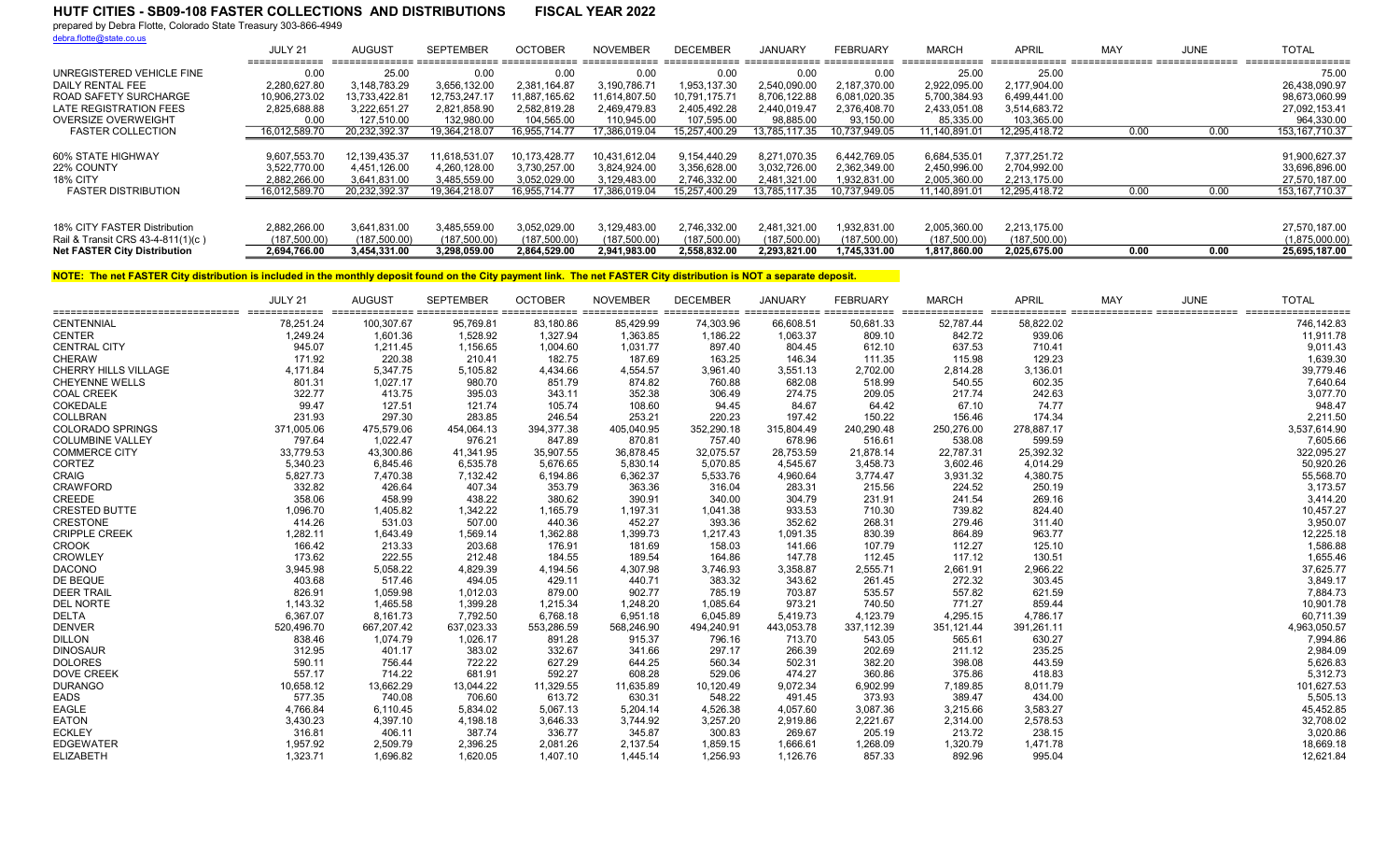prepared by Debra Flotte, Colorado State Treasury 303-866-4949

debra.flotte@state.co.us

|                                     | JULY 21       | AUGUST        | <b>SEPTEMBER</b> | <b>OCTOBER</b> | <b>NOVEMBER</b> | <b>DECEMBER</b> | <b>JANUARY</b> | FEBRUARY      | <b>MARCH</b>  | <b>APRIL</b>  | MAY  | <b>JUNE</b> | <b>TOTAL</b>      |
|-------------------------------------|---------------|---------------|------------------|----------------|-----------------|-----------------|----------------|---------------|---------------|---------------|------|-------------|-------------------|
| UNREGISTERED VEHICLE FINE           | 0.00          | 25.00         | 0.00             | 0.00           | 0.00            | 0.00            | 0.00           | 0.00          | 25.00         | 25.00         |      |             | 75.00             |
| DAILY RENTAL FEE                    | 2.280.627.80  | 3,148,783.29  | 3,656,132.00     | 2.381.164.87   | 3.190.786.71    | 1.953.137.30    | 2.540.090.00   | 2.187.370.00  | 2,922,095.00  | 2.177.904.00  |      |             | 26.438.090.97     |
| ROAD SAFETY SURCHARGE               | 10.906.273.02 | 13.733.422.81 | 12.753.247.17    | 11.887.165.62  | 1.614.807.50    | 10.791.175.71   | 8.706.122.88   | 6,081,020.35  | 5,700,384.93  | 6,499,441.00  |      |             | 98,673,060.99     |
| LATE REGISTRATION FEES              | 2,825,688.88  | 3.222.651.27  | 2,821,858.90     | 2.582.819.28   | 2.469.479.83    | 2.405.492.28    | 2.440.019.47   | 2.376.408.70  | 2,433,051.08  | 3,514,683.72  |      |             | 27.092.153.41     |
| OVERSIZE OVERWEIGHT                 | 0.00          | 127.510.00    | 132.980.00       | 104.565.00     | 110.945.00      | 107.595.00      | 98.885.00      | 93.150.00     | 85.335.00     | 103.365.00    |      |             | 964.330.00        |
| <b>FASTER COLLECTION</b>            | 16,012,589.70 | 20,232,392.37 | 19.364.218.07    | 16,955,714.77  | 7,386,019.04    | 15,257,400.29   | 13,785,117.35  | 10.737,949.05 | 11,140,891.01 | 12,295,418.72 | 0.00 | 0.00        | 153, 167, 710. 37 |
|                                     |               |               |                  |                |                 |                 |                |               |               |               |      |             |                   |
| 60% STATE HIGHWAY                   | 9.607.553.70  | 12,139,435.37 | 11,618,531.07    | 10.173.428.77  | 10,431,612.04   | 9.154.440.29    | 8.271.070.35   | 6,442,769.05  | 6,684,535.01  | 7.377.251.72  |      |             | 91.900.627.37     |
| 22% COUNTY                          | 3.522.770.00  | 4,451,126.00  | 4.260.128.00     | 3.730.257.00   | 3.824.924.00    | 3.356.628.00    | 3.032.726.00   | 2.362.349.00  | 2.450.996.00  | 2.704.992.00  |      |             | 33.696.896.00     |
| 18% CITY                            | 2.882.266.00  | 3.641.831.00  | 3,485,559.00     | 3.052.029.00   | 3.129.483.00    | 2.746.332.00    | 2.481.321.00   | 1.932.831.00  | 2,005,360.00  | 2.213.175.00  |      |             | 27.570.187.00     |
| <b>FASTER DISTRIBUTION</b>          | 16.012.589.70 | 20.232.392.37 | 19.364.218.07    | 16.955.714.77  | 7.386.019.04    | 15.257.400.29   | 13.785.117.35  | 10.737,949.05 | 11.140.891.01 | 12.295.418.72 | 0.00 | 0.00        | 153, 167, 710.37  |
|                                     |               |               |                  |                |                 |                 |                |               |               |               |      |             |                   |
| 18% CITY FASTER Distribution        | 2.882.266.00  | 3,641,831.00  | 3,485,559.00     | 3,052,029.00   | 3,129,483.00    | 2,746,332.00    | 2.481.321.00   | 1,932,831.00  | 2,005,360.00  | 2.213.175.00  |      |             | 27,570,187.00     |
| Rail & Transit CRS 43-4-811(1)(c)   | (187.500.00)  | (187.500.00)  | (187.500.00)     | (187,500.00)   | (187.500.00)    | (187.500.00)    | (187.500.00)   | (187.500.00)  | (187,500.00)  | (187,500.00)  |      |             | (1,875,000.00)    |
| <b>Net FASTER City Distribution</b> | 2.694.766.00  | 3.454.331.00  | 3.298.059.00     | 2.864.529.00   | 2.941.983.00    | 2.558.832.00    | 2.293.821.00   | 1.745.331.00  | 1.817.860.00  | 2.025.675.00  | 0.00 | 0.00        | 25.695.187.00     |

|                             | JULY 21    | <b>AUGUST</b> | <b>SEPTEMBER</b> | <b>OCTOBER</b> | <b>NOVEMBER</b> | <b>DECEMBER</b> | <b>JANUARY</b> | <b>FEBRUARY</b> | <b>MARCH</b> | <b>APRIL</b> | MAY | JUNE | <b>TOTAL</b> |
|-----------------------------|------------|---------------|------------------|----------------|-----------------|-----------------|----------------|-----------------|--------------|--------------|-----|------|--------------|
| <b>CENTENNIAL</b>           | 78.251.24  | 100,307.67    | 95,769.81        | 83,180.86      | 85.429.99       | 74.303.96       | 66.608.51      | 50,681.33       | 52.787.44    | 58,822.02    |     |      | 746,142.83   |
| <b>CENTER</b>               | 1.249.24   | 1.601.36      | 1,528.92         | 1,327.94       | 1.363.85        | 1.186.22        | 1.063.37       | 809.10          | 842.72       | 939.06       |     |      | 11,911.78    |
| <b>CENTRAL CITY</b>         | 945.07     | 1,211.45      | 1,156.65         | 1,004.60       | 1,031.77        | 897.40          | 804.45         | 612.10          | 637.53       | 710.41       |     |      | 9,011.43     |
| <b>CHERAW</b>               | 171.92     | 220.38        | 210.41           | 182.75         | 187.69          | 163.25          | 146.34         | 111.35          | 115.98       | 129.23       |     |      | 1,639.30     |
| <b>CHERRY HILLS VILLAGE</b> | 4.171.84   | 5.347.75      | 5,105.82         | 4.434.66       | 4,554.57        | 3.961.40        | 3,551.13       | 2,702.00        | 2,814.28     | 3,136.01     |     |      | 39,779.46    |
| <b>CHEYENNE WELLS</b>       | 801.31     | 1,027.17      | 980.70           | 851.79         | 874.82          | 760.88          | 682.08         | 518.99          | 540.55       | 602.35       |     |      | 7,640.64     |
| <b>COAL CREEK</b>           | 322.77     | 413.75        | 395.03           | 343.11         | 352.38          | 306.49          | 274.75         | 209.05          | 217.74       | 242.63       |     |      | 3,077.70     |
| COKEDALE                    | 99.47      | 127.51        | 121.74           | 105.74         | 108.60          | 94.45           | 84.67          | 64.42           | 67.10        | 74.77        |     |      | 948.47       |
| COLLBRAN                    | 231.93     | 297.30        | 283.85           | 246.54         | 253.21          | 220.23          | 197.42         | 150.22          | 156.46       | 174.34       |     |      | 2,211.50     |
| <b>COLORADO SPRINGS</b>     | 371,005.06 | 475,579.06    | 454,064.13       | 394,377.38     | 405.040.95      | 352,290.18      | 315,804.49     | 240,290.48      | 250,276.00   | 278,887.17   |     |      | 3,537,614.90 |
| <b>COLUMBINE VALLEY</b>     | 797.64     | 1,022.47      | 976.21           | 847.89         | 870.81          | 757.40          | 678.96         | 516.61          | 538.08       | 599.59       |     |      | 7,605.66     |
| <b>COMMERCE CITY</b>        | 33.779.53  | 43.300.86     | 41.341.95        | 35,907.55      | 36.878.45       | 32.075.57       | 28.753.59      | 21.878.14       | 22.787.31    | 25,392.32    |     |      | 322,095.27   |
| <b>CORTEZ</b>               | 5,340.23   | 6,845.46      | 6,535.78         | 5,676.65       | 5,830.14        | 5,070.85        | 4,545.67       | 3,458.73        | 3,602.46     | 4,014.29     |     |      | 50,920.26    |
| <b>CRAIG</b>                | 5,827.73   | 7,470.38      | 7,132.42         | 6,194.86       | 6,362.37        | 5,533.76        | 4,960.64       | 3,774.47        | 3,931.32     | 4,380.75     |     |      | 55,568.70    |
| <b>CRAWFORD</b>             | 332.82     | 426.64        | 407.34           | 353.79         | 363.36          | 316.04          | 283.31         | 215.56          | 224.52       | 250.19       |     |      | 3,173.57     |
| CREEDE                      | 358.06     | 458.99        | 438.22           | 380.62         | 390.91          | 340.00          | 304.79         | 231.91          | 241.54       | 269.16       |     |      | 3,414.20     |
| <b>CRESTED BUTTE</b>        | 1,096.70   | 1,405.82      | 1,342.22         | 1,165.79       | 1,197.31        | 1,041.38        | 933.53         | 710.30          | 739.82       | 824.40       |     |      | 10,457.27    |
| <b>CRESTONE</b>             | 414.26     | 531.03        | 507.00           | 440.36         | 452.27          | 393.36          | 352.62         | 268.31          | 279.46       | 311.40       |     |      | 3,950.07     |
| <b>CRIPPLE CREEK</b>        | 1,282.11   | 1,643.49      | 1,569.14         | 1,362.88       | 1,399.73        | 1,217.43        | 1,091.35       | 830.39          | 864.89       | 963.77       |     |      | 12,225.18    |
| <b>CROOK</b>                | 166.42     | 213.33        | 203.68           | 176.91         | 181.69          | 158.03          | 141.66         | 107.79          | 112.27       | 125.10       |     |      | 1,586.88     |
| <b>CROWLEY</b>              | 173.62     | 222.55        | 212.48           | 184.55         | 189.54          | 164.86          | 147.78         | 112.45          | 117.12       | 130.51       |     |      | 1,655.46     |
| <b>DACONO</b>               | 3,945.98   | 5,058.22      | 4,829.39         | 4,194.56       | 4.307.98        | 3,746.93        | 3,358.87       | 2,555.71        | 2,661.91     | 2,966.22     |     |      | 37,625.77    |
| DE BEQUE                    | 403.68     | 517.46        | 494.05           | 429.11         | 440.71          | 383.32          | 343.62         | 261.45          | 272.32       | 303.45       |     |      | 3,849.17     |
| <b>DEER TRAIL</b>           | 826.91     | 1,059.98      | 1,012.03         | 879.00         | 902.77          | 785.19          | 703.87         | 535.57          | 557.82       | 621.59       |     |      | 7,884.73     |
| <b>DEL NORTE</b>            | 1.143.32   | 1,465.58      | 1,399.28         | 1,215.34       | 1.248.20        | 1.085.64        | 973.21         | 740.50          | 771.27       | 859.44       |     |      | 10,901.78    |
| <b>DELTA</b>                | 6,367.07   | 8,161.73      | 7,792.50         | 6,768.18       | 6,951.18        | 6,045.89        | 5,419.73       | 4,123.79        | 4,295.15     | 4,786.17     |     |      | 60,711.39    |
| <b>DENVER</b>               | 520.496.70 | 667.207.42    | 637.023.33       | 553,286.59     | 568.246.90      | 494.240.91      | 443.053.78     | 337,112.39      | 351,121.44   | 391,261.11   |     |      | 4,963,050.57 |
| <b>DILLON</b>               | 838.46     | 1.074.79      | 1,026.17         | 891.28         | 915.37          | 796.16          | 713.70         | 543.05          | 565.61       | 630.27       |     |      | 7,994.86     |
| <b>DINOSAUR</b>             | 312.95     | 401.17        | 383.02           | 332.67         | 341.66          | 297.17          | 266.39         | 202.69          | 211.12       | 235.25       |     |      | 2,984.09     |
| <b>DOLORES</b>              | 590.11     | 756.44        | 722.22           | 627.29         | 644.25          | 560.34          | 502.31         | 382.20          | 398.08       | 443.59       |     |      | 5,626.83     |
| <b>DOVE CREEK</b>           | 557.17     | 714.22        | 681.91           | 592.27         | 608.28          | 529.06          | 474.27         | 360.86          | 375.86       | 418.83       |     |      | 5,312.73     |
| <b>DURANGO</b>              | 10,658.12  | 13,662.29     | 13,044.22        | 11,329.55      | 11,635.89       | 10,120.49       | 9,072.34       | 6,902.99        | 7,189.85     | 8,011.79     |     |      | 101,627.53   |
| <b>EADS</b>                 | 577.35     | 740.08        | 706.60           | 613.72         | 630.31          | 548.22          | 491.45         | 373.93          | 389.47       | 434.00       |     |      | 5,505.13     |
| <b>EAGLE</b>                | 4,766.84   | 6,110.45      | 5,834.02         | 5,067.13       | 5,204.14        | 4,526.38        | 4,057.60       | 3,087.36        | 3,215.66     | 3,583.27     |     |      | 45,452.85    |
| <b>EATON</b>                | 3,430.23   | 4,397.10      | 4,198.18         | 3,646.33       | 3,744.92        | 3,257.20        | 2,919.86       | 2,221.67        | 2,314.00     | 2,578.53     |     |      | 32,708.02    |
| <b>ECKLEY</b>               | 316.81     | 406.11        | 387.74           | 336.77         | 345.87          | 300.83          | 269.67         | 205.19          | 213.72       | 238.15       |     |      | 3,020.86     |
| <b>EDGEWATER</b>            | 1,957.92   | 2.509.79      | 2,396.25         | 2,081.26       | 2.137.54        | 1.859.15        | 1.666.61       | 1,268.09        | 1,320.79     | 1,471.78     |     |      | 18,669.18    |
| <b>ELIZABETH</b>            | 1.323.71   | 1.696.82      | 1.620.05         | 1.407.10       | 1.445.14        | 1.256.93        | 1.126.76       | 857.33          | 892.96       | 995.04       |     |      | 12,621.84    |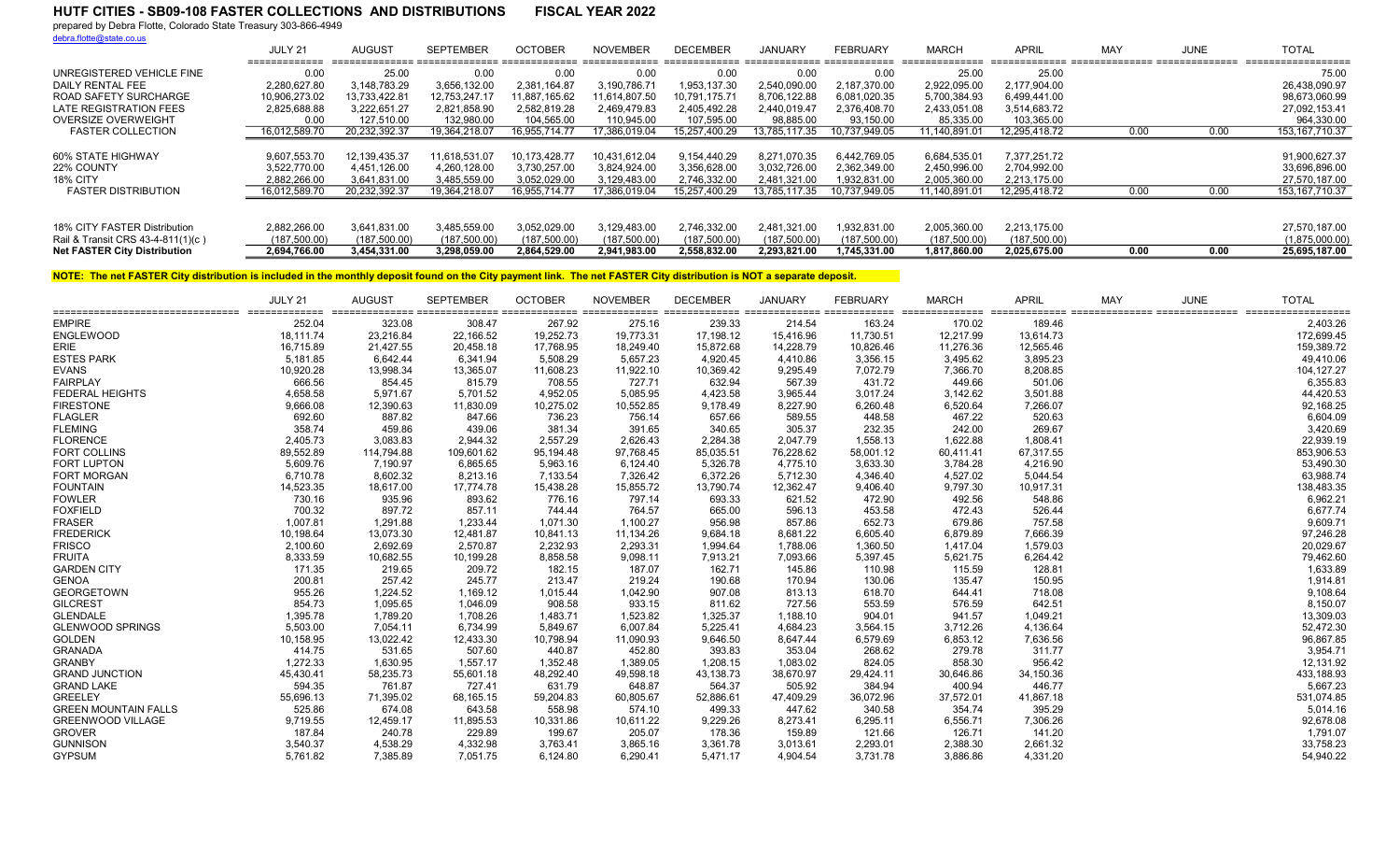prepared by Debra Flotte, Colorado State Treasury 303-866-4949

debra.flotte@state.co.us

|                                     | JULY 21<br>_____________ | AUGUST        | <b>SEPTEMBER</b> | <b>OCTOBER</b> | NOVEMBER      | <b>DECEMBER</b> | JANUARY       | <b>FEBRUARY</b> | <b>MARCH</b><br>_______________ | APRII         | MA <sup>\</sup> | JUNE | <b>TOTAL</b><br>------------------ |
|-------------------------------------|--------------------------|---------------|------------------|----------------|---------------|-----------------|---------------|-----------------|---------------------------------|---------------|-----------------|------|------------------------------------|
| UNREGISTERED VEHICLE FINE           | 0.00                     | 25.00         | 0.00             | 0.00           | 0.00          | u.uu            | 0.00          | 0.00            | 25.00                           | 25.00         |                 |      | 75.00                              |
| DAILY RENTAL FEE                    | 2.280.627.80             | 3,148,783.29  | 3,656,132.00     | 2.381.164.87   | 3,190,786.71  | 1.953.137.30    | 2.540.090.00  | 2.187.370.00    | 2,922,095.00                    | 2.177.904.00  |                 |      | 26,438,090.97                      |
| ROAD SAFETY SURCHARGE               | 10.906.273.02            | 13.733.422.81 | 12.753.247.17    | 11.887.165.62  | 11.614.807.50 | 10.791.175.71   | 8,706,122.88  | 6,081,020.35    | 5,700,384.93                    | 6.499.441.00  |                 |      | 98.673.060.99                      |
| LATE REGISTRATION FEES              | 2.825.688.88             | 3.222.651.27  | 2,821,858.90     | 2.582.819.28   | 2.469.479.83  | 2.405.492.28    | 2.440.019.47  | 2.376.408.70    | 2,433,051.08                    | 3,514,683.72  |                 |      | 27,092,153.41                      |
| OVERSIZE OVERWEIGHT                 | 0.00                     | 127.510.00    | 132.980.00       | 104.565.00     | 110.945.00    | 107.595.00      | 98,885.00     | 93.150.00       | 85,335.00                       | 103,365.00    |                 |      | 964.330.00                         |
| <b>FASTER COLLECTION</b>            | 16.012.589.70            | 20.232.392.37 | 19.364.218.07    | 6.955.714.77   | 7,386,019.04  | 15.257.400.29   | 13.785.117.35 | 10.737.949.05   | 11.140.891.01                   | 12.295.418.72 | 0.00            | 0.00 | 153, 167, 710.37                   |
|                                     |                          |               |                  |                |               |                 |               |                 |                                 |               |                 |      |                                    |
| 60% STATE HIGHWAY                   | 9,607,553.70             | 12.139.435.37 | 11.618.531.07    | 10.173.428.77  | 10,431,612.04 | 9.154.440.29    | 8.271.070.35  | 6,442,769.05    | 6.684.535.01                    | 7.377.251.72  |                 |      | 91,900,627.37                      |
| 22% COUNTY                          | 3.522.770.00             | 4.451.126.00  | 4.260.128.00     | 3.730.257.00   | 3,824,924.00  | 3,356,628.00    | 3.032.726.00  | 2,362,349.00    | 2,450,996.00                    | 2.704.992.00  |                 |      | 33,696,896.00                      |
| 18% CITY                            | 2,882,266.00             | 3,641,831.00  | 3,485,559.00     | 3,052,029.00   | 3,129,483.00  | 2,746,332.00    | 2,481,321.00  | 1,932,831.00    | 2,005,360.00                    | 2,213,175.00  |                 |      | 27,570,187.00                      |
| <b>FASTER DISTRIBUTION</b>          | 16.012.589.70            | 20.232.392.37 | 19.364.218.07    | 16.955.714.77  | 17.386.019.04 | 15.257.400.29   | 13.785.117.35 | 10.737.949.05   | 11.140.891.01                   | 12.295.418.72 | 0.00            | 0.00 | 153, 167, 710.37                   |
|                                     |                          |               |                  |                |               |                 |               |                 |                                 |               |                 |      |                                    |
| 18% CITY FASTER Distribution        | 2.882.266.00             | 3.641.831.00  | 3.485.559.00     | 3.052.029.00   | 3,129,483.00  | 2.746.332.00    | 2.481.321.00  | 1,932,831.00    | 2,005,360.00                    | 2.213.175.00  |                 |      | 27,570,187.00                      |
| Rail & Transit CRS 43-4-811(1)(c)   | (187.500.00)             | (187.500.00)  | (187.500.00)     | (187.500.00)   | (187.500.00)  | (187.500.00)    | (187.500.00)  | (187,500.00)    | (187.500.00)                    | (187,500.00)  |                 |      | (1,875,000.00)                     |
| <b>Net FASTER City Distribution</b> | 2.694.766.00             | 3.454.331.00  | 3.298.059.00     | 2.864.529.00   | 2.941.983.00  | 2.558.832.00    | 2.293.821.00  | 1.745.331.00    | 1.817.860.00                    | 2.025.675.00  | 0.00            | 0.00 | 25.695.187.00                      |

|                             | JULY 21   | <b>AUGUST</b> | <b>SEPTEMBER</b> | <b>OCTOBER</b> | <b>NOVEMBER</b> | <b>DECEMBER</b> | <b>JANUARY</b> | <b>FEBRUARY</b> | <b>MARCH</b> | <b>APRIL</b> | MAY | <b>JUNE</b> | <b>TOTAL</b> |
|-----------------------------|-----------|---------------|------------------|----------------|-----------------|-----------------|----------------|-----------------|--------------|--------------|-----|-------------|--------------|
| <b>EMPIRE</b>               | 252.04    | 323.08        | 308.47           | 267.92         | 275.16          | 239.33          | 214.54         | 163.24          | 170.02       | 189.46       |     |             | 2,403.26     |
| <b>ENGLEWOOD</b>            | 18,111.74 | 23,216.84     | 22,166.52        | 19,252.73      | 19,773.31       | 17,198.12       | 15,416.96      | 11,730.51       | 12,217.99    | 13,614.73    |     |             | 172,699.45   |
| <b>ERIE</b>                 | 16,715.89 | 21,427.55     | 20,458.18        | 17,768.95      | 18,249.40       | 15,872.68       | 14,228.79      | 10,826.46       | 11,276.36    | 12,565.46    |     |             | 159,389.72   |
| <b>ESTES PARK</b>           | 5.181.85  | 6.642.44      | 6,341.94         | 5,508.29       | 5.657.23        | 4,920.45        | 4,410.86       | 3,356.15        | 3,495.62     | 3,895.23     |     |             | 49,410.06    |
| <b>EVANS</b>                | 10,920.28 | 13,998.34     | 13,365.07        | 11,608.23      | 11,922.10       | 10,369.42       | 9,295.49       | 7,072.79        | 7,366.70     | 8,208.85     |     |             | 104, 127.27  |
| <b>FAIRPLAY</b>             | 666.56    | 854.45        | 815.79           | 708.55         | 727.71          | 632.94          | 567.39         | 431.72          | 449.66       | 501.06       |     |             | 6,355.83     |
| <b>FEDERAL HEIGHTS</b>      | 4,658.58  | 5,971.67      | 5,701.52         | 4,952.05       | 5,085.95        | 4,423.58        | 3,965.44       | 3,017.24        | 3,142.62     | 3,501.88     |     |             | 44,420.53    |
| <b>FIRESTONE</b>            | 9,666.08  | 12,390.63     | 11,830.09        | 10,275.02      | 10,552.85       | 9,178.49        | 8,227.90       | 6,260.48        | 6,520.64     | 7,266.07     |     |             | 92,168.25    |
| <b>FLAGLER</b>              | 692.60    | 887.82        | 847.66           | 736.23         | 756.14          | 657.66          | 589.55         | 448.58          | 467.22       | 520.63       |     |             | 6,604.09     |
| <b>FLEMING</b>              | 358.74    | 459.86        | 439.06           | 381.34         | 391.65          | 340.65          | 305.37         | 232.35          | 242.00       | 269.67       |     |             | 3,420.69     |
| <b>FLORENCE</b>             | 2,405.73  | 3,083.83      | 2,944.32         | 2,557.29       | 2.626.43        | 2,284.38        | 2,047.79       | 1,558.13        | 1,622.88     | 1,808.41     |     |             | 22,939.19    |
| <b>FORT COLLINS</b>         | 89,552.89 | 114,794.88    | 109,601.62       | 95,194.48      | 97.768.45       | 85,035.51       | 76,228.62      | 58,001.12       | 60.411.41    | 67,317.55    |     |             | 853,906.53   |
| <b>FORT LUPTON</b>          | 5,609.76  | 7,190.97      | 6,865.65         | 5,963.16       | 6,124.40        | 5,326.78        | 4,775.10       | 3,633.30        | 3,784.28     | 4,216.90     |     |             | 53,490.30    |
| <b>FORT MORGAN</b>          | 6,710.78  | 8.602.32      | 8,213.16         | 7,133.54       | 7.326.42        | 6,372.26        | 5,712.30       | 4.346.40        | 4.527.02     | 5,044.54     |     |             | 63,988.74    |
| <b>FOUNTAIN</b>             | 14,523.35 | 18,617.00     | 17,774.78        | 15,438.28      | 15,855.72       | 13,790.74       | 12,362.47      | 9,406.40        | 9,797.30     | 10,917.31    |     |             | 138,483.35   |
| <b>FOWLER</b>               | 730.16    | 935.96        | 893.62           | 776.16         | 797.14          | 693.33          | 621.52         | 472.90          | 492.56       | 548.86       |     |             | 6,962.21     |
| <b>FOXFIELD</b>             | 700.32    | 897.72        | 857.11           | 744.44         | 764.57          | 665.00          | 596.13         | 453.58          | 472.43       | 526.44       |     |             | 6,677.74     |
| <b>FRASER</b>               | 1,007.81  | 1,291.88      | 1,233.44         | 1,071.30       | 1,100.27        | 956.98          | 857.86         | 652.73          | 679.86       | 757.58       |     |             | 9,609.71     |
| <b>FREDERICK</b>            | 10,198.64 | 13,073.30     | 12,481.87        | 10,841.13      | 11,134.26       | 9,684.18        | 8,681.22       | 6,605.40        | 6,879.89     | 7,666.39     |     |             | 97,246.28    |
| <b>FRISCO</b>               | 2,100.60  | 2,692.69      | 2,570.87         | 2,232.93       | 2,293.31        | 1.994.64        | 1,788.06       | 1,360.50        | 1.417.04     | 1,579.03     |     |             | 20,029.67    |
| <b>FRUITA</b>               | 8,333.59  | 10,682.55     | 10,199.28        | 8,858.58       | 9,098.11        | 7,913.21        | 7,093.66       | 5,397.45        | 5,621.75     | 6,264.42     |     |             | 79,462.60    |
| <b>GARDEN CITY</b>          | 171.35    | 219.65        | 209.72           | 182.15         | 187.07          | 162.71          | 145.86         | 110.98          | 115.59       | 128.81       |     |             | 1,633.89     |
| <b>GENOA</b>                | 200.81    | 257.42        | 245.77           | 213.47         | 219.24          | 190.68          | 170.94         | 130.06          | 135.47       | 150.95       |     |             | 1,914.81     |
| <b>GEORGETOWN</b>           | 955.26    | 1,224.52      | 1,169.12         | 1,015.44       | 1,042.90        | 907.08          | 813.13         | 618.70          | 644.41       | 718.08       |     |             | 9,108.64     |
| <b>GILCREST</b>             | 854.73    | 1,095.65      | 1,046.09         | 908.58         | 933.15          | 811.62          | 727.56         | 553.59          | 576.59       | 642.51       |     |             | 8,150.07     |
| <b>GLENDALE</b>             | 1,395.78  | 1.789.20      | 1,708.26         | 1,483.71       | 1,523.82        | 1,325.37        | 1,188.10       | 904.01          | 941.57       | 1,049.21     |     |             | 13,309.03    |
| <b>GLENWOOD SPRINGS</b>     | 5,503.00  | 7,054.11      | 6,734.99         | 5,849.67       | 6,007.84        | 5,225.41        | 4,684.23       | 3,564.15        | 3,712.26     | 4,136.64     |     |             | 52,472.30    |
| <b>GOLDEN</b>               | 10,158.95 | 13,022.42     | 12,433.30        | 10,798.94      | 11.090.93       | 9,646.50        | 8,647.44       | 6,579.69        | 6,853.12     | 7,636.56     |     |             | 96,867.85    |
| <b>GRANADA</b>              | 414.75    | 531.65        | 507.60           | 440.87         | 452.80          | 393.83          | 353.04         | 268.62          | 279.78       | 311.77       |     |             | 3,954.71     |
| <b>GRANBY</b>               | 1,272.33  | 1,630.95      | 1,557.17         | 1,352.48       | 1,389.05        | 1,208.15        | 1,083.02       | 824.05          | 858.30       | 956.42       |     |             | 12,131.92    |
| <b>GRAND JUNCTION</b>       | 45.430.41 | 58,235.73     | 55,601.18        | 48,292.40      | 49.598.18       | 43,138.73       | 38,670.97      | 29,424.11       | 30,646.86    | 34,150.36    |     |             | 433,188.93   |
| <b>GRAND LAKE</b>           | 594.35    | 761.87        | 727.41           | 631.79         | 648.87          | 564.37          | 505.92         | 384.94          | 400.94       | 446.77       |     |             | 5,667.23     |
| <b>GREELEY</b>              | 55,696.13 | 71,395.02     | 68,165.15        | 59,204.83      | 60,805.67       | 52,886.61       | 47,409.29      | 36,072.96       | 37,572.01    | 41,867.18    |     |             | 531,074.85   |
| <b>GREEN MOUNTAIN FALLS</b> | 525.86    | 674.08        | 643.58           | 558.98         | 574.10          | 499.33          | 447.62         | 340.58          | 354.74       | 395.29       |     |             | 5,014.16     |
| <b>GREENWOOD VILLAGE</b>    | 9,719.55  | 12,459.17     | 11,895.53        | 10,331.86      | 10,611.22       | 9,229.26        | 8,273.41       | 6,295.11        | 6,556.71     | 7,306.26     |     |             | 92,678.08    |
| <b>GROVER</b>               | 187.84    | 240.78        | 229.89           | 199.67         | 205.07          | 178.36          | 159.89         | 121.66          | 126.71       | 141.20       |     |             | 1,791.07     |
| <b>GUNNISON</b>             | 3,540.37  | 4,538.29      | 4,332.98         | 3,763.41       | 3,865.16        | 3,361.78        | 3,013.61       | 2,293.01        | 2,388.30     | 2,661.32     |     |             | 33,758.23    |
| <b>GYPSUM</b>               | 5,761.82  | 7,385.89      | 7,051.75         | 6,124.80       | 6,290.41        | 5.471.17        | 4,904.54       | 3,731.78        | 3,886.86     | 4,331.20     |     |             | 54,940.22    |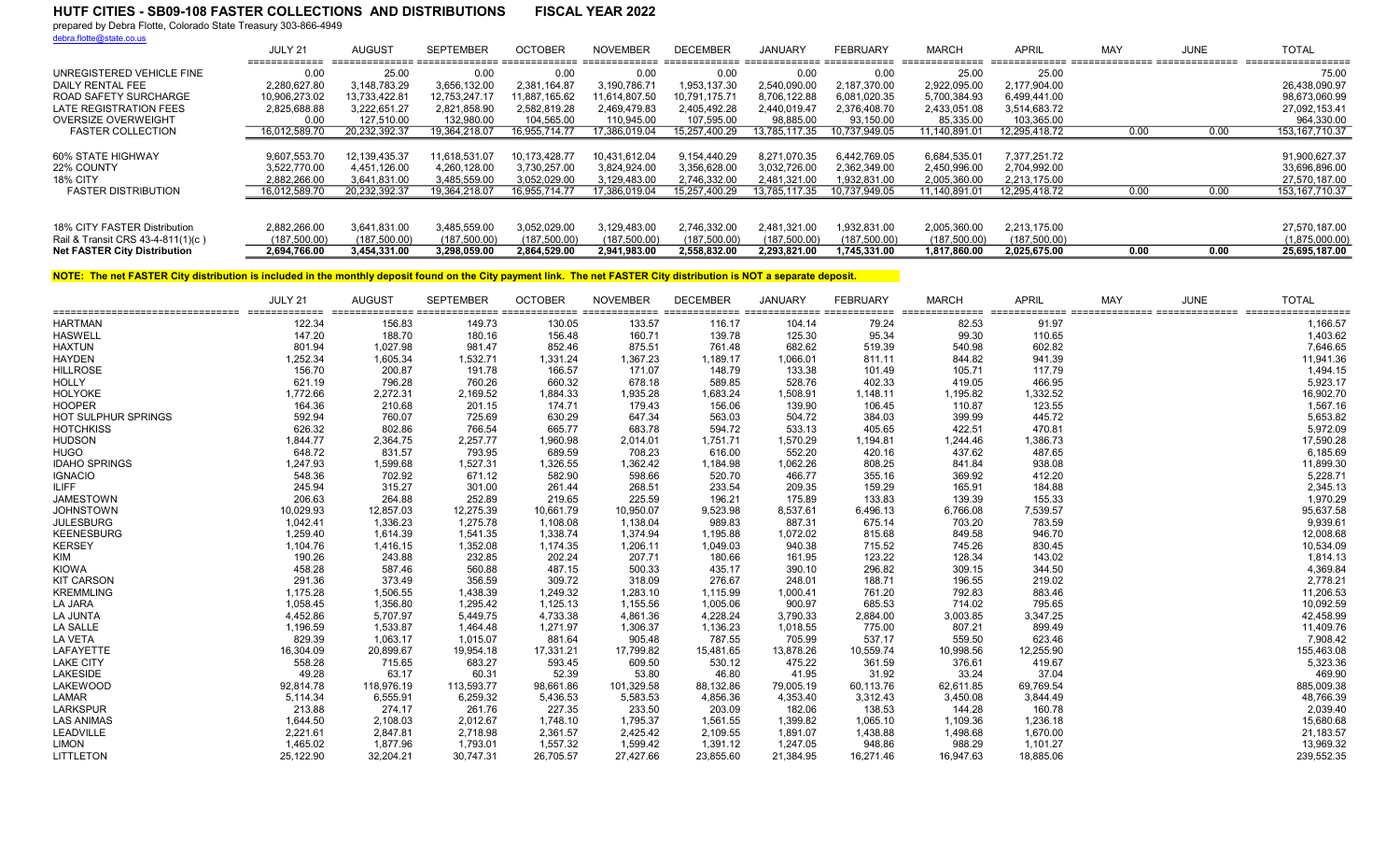prepared by Debra Flotte, Colorado State Treasury 303-866-4949

debra.flotte@state.co.us

|                                     | JULY 21       | AUGUST        | <b>SEPTEMBER</b> | <b>OCTOBER</b> | <b>NOVEMBER</b> | <b>DECEMBER</b> | <b>JANUARY</b> | FEBRUARY      | <b>MARCH</b>  | <b>APRIL</b>  | MAY  | <b>JUNE</b> | <b>TOTAL</b>      |
|-------------------------------------|---------------|---------------|------------------|----------------|-----------------|-----------------|----------------|---------------|---------------|---------------|------|-------------|-------------------|
| UNREGISTERED VEHICLE FINE           | 0.00          | 25.00         | 0.00             | 0.00           | 0.00            | 0.00            | 0.00           | 0.00          | 25.00         | 25.00         |      |             | 75.00             |
| DAILY RENTAL FEE                    | 2.280.627.80  | 3.148.783.29  | 3.656.132.00     | 2.381.164.87   | 3.190.786.71    | 1,953,137.30    | 2.540.090.00   | 2.187.370.00  | 2.922.095.00  | 2.177.904.00  |      |             | 26.438.090.97     |
| ROAD SAFETY SURCHARGE               | 10.906.273.02 | 13.733.422.81 | 12.753.247.17    | 11.887.165.62  | 11.614.807.50   | 10.791.175.71   | 8.706.122.88   | 6,081,020.35  | 5,700,384.93  | 6,499,441.00  |      |             | 98,673,060.99     |
| LATE REGISTRATION FEES              | 2.825.688.88  | 3.222.651.27  | 2,821,858.90     | 2.582.819.28   | 2.469.479.83    | 2.405.492.28    | 2.440.019.47   | 2.376.408.70  | 2,433,051.08  | 3,514,683.72  |      |             | 27,092,153.41     |
| OVERSIZE OVERWEIGHT                 | 0.00          | 127.510.00    | 132.980.00       | 104.565.00     | 110.945.00      | 107.595.00      | 98.885.00      | 93.150.00     | 85.335.00     | 103.365.00    |      |             | 964.330.00        |
| <b>FASTER COLLECTION</b>            | 16,012,589.70 | 20,232,392.37 | 19,364,218.07    | 16,955,714.77  | 17,386,019.04   | 15,257,400.29   | 13,785,117.35  | 10,737,949.05 | 11,140,891.01 | 12,295,418.72 | 0.00 | 0.00        | 153, 167, 710. 37 |
|                                     |               |               |                  |                |                 |                 |                |               |               |               |      |             |                   |
| 60% STATE HIGHWAY                   | 9,607,553.70  | 12,139,435.37 | 11.618.531.07    | 10.173.428.77  | 10,431,612.04   | 9.154.440.29    | 8.271.070.35   | 6,442,769.05  | 6,684,535.01  | 7.377.251.72  |      |             | 91,900,627.37     |
| 22% COUNTY                          | 3.522.770.00  | 4,451,126.00  | 4,260,128.00     | 3.730.257.00   | 3.824.924.00    | 3.356.628.00    | 3.032.726.00   | 2.362.349.00  | 2,450,996.00  | 2.704.992.00  |      |             | 33,696,896.00     |
| 18% CITY                            | 2.882.266.00  | 3,641,831.00  | 3,485,559.00     | 3.052.029.00   | 3,129,483.00    | 2,746,332.00    | 2,481,321.00   | 1,932,831.00  | 2,005,360.00  | 2,213,175.00  |      |             | 27,570,187.00     |
| <b>FASTER DISTRIBUTION</b>          | 16.012.589.70 | 20.232.392.37 | 19.364.218.07    | 16.955.714.77  | 17.386.019.04   | 15.257.400.29   | 13.785.117.35  | 10.737.949.05 | 11.140.891.01 | 12.295.418.72 | 0.00 | 0.00        | 153, 167, 710.37  |
|                                     |               |               |                  |                |                 |                 |                |               |               |               |      |             |                   |
| 18% CITY FASTER Distribution        | 2.882.266.00  | 3.641.831.00  | 3,485,559.00     | 3.052.029.00   | 3.129.483.00    | 2,746,332.00    | 2.481.321.00   | 1,932,831.00  | 2,005,360.00  | 2.213.175.00  |      |             | 27,570,187.00     |
| Rail & Transit CRS 43-4-811(1)(c)   | (187.500.00)  | (187,500.00)  | (187,500.00)     | (187.500.00)   | (187.500.00)    | (187,500.00)    | (187.500.00)   | (187, 500.00) | (187.500.00)  | (187,500.00)  |      |             | (1,875,000.00)    |
| <b>Net FASTER City Distribution</b> | 2,694,766.00  | 3,454,331.00  | 3.298.059.00     | 2.864.529.00   | 2.941.983.00    | 2.558.832.00    | 2.293.821.00   | 1.745.331.00  | 1.817.860.00  | 2.025.675.00  | 0.00 | 0.00        | 25,695,187.00     |

|                            | JULY 21   | AUGUS <sub>1</sub> | <b>SEPTEMBER</b> | <b>OCTOBER</b> | <b>NOVEMBER</b> | <b>DECEMBER</b> | <b>JANUARY</b> | <b>FEBRUARY</b> | <b>MARCH</b> | <b>APRIL</b> | <b>MAY</b> | <b>JUNE</b> | <b>TOTAL</b> |
|----------------------------|-----------|--------------------|------------------|----------------|-----------------|-----------------|----------------|-----------------|--------------|--------------|------------|-------------|--------------|
| <b>HARTMAN</b>             | 122.34    | 156.83             | 149.73           | 130.05         | 133.57          | 116.17          | 104.14         | 79.24           | 82.53        | 91.97        |            |             | 1,166.57     |
| <b>HASWELL</b>             | 147.20    | 188.70             | 180.16           | 156.48         | 160.71          | 139.78          | 125.30         | 95.34           | 99.30        | 110.65       |            |             | 1,403.62     |
| <b>HAXTUN</b>              | 801.94    | 1,027.98           | 981.47           | 852.46         | 875.51          | 761.48          | 682.62         | 519.39          | 540.98       | 602.82       |            |             | 7,646.65     |
| <b>HAYDEN</b>              | 1,252.34  | 1,605.34           | 1,532.71         | 1,331.24       | 1,367.23        | 1,189.17        | 1,066.01       | 811.11          | 844.82       | 941.39       |            |             | 11,941.36    |
| <b>HILLROSE</b>            | 156.70    | 200.87             | 191.78           | 166.57         | 171.07          | 148.79          | 133.38         | 101.49          | 105.71       | 117.79       |            |             | 1,494.15     |
| <b>HOLLY</b>               | 621.19    | 796.28             | 760.26           | 660.32         | 678.18          | 589.85          | 528.76         | 402.33          | 419.05       | 466.95       |            |             | 5,923.17     |
| <b>HOLYOKE</b>             | 1,772.66  | 2,272.31           | 2,169.52         | 1,884.33       | 1,935.28        | 1,683.24        | 1,508.91       | 1,148.11        | 1,195.82     | 1,332.52     |            |             | 16,902.70    |
| <b>HOOPER</b>              | 164.36    | 210.68             | 201.15           | 174.71         | 179.43          | 156.06          | 139.90         | 106.45          | 110.87       | 123.55       |            |             | 1,567.16     |
| <b>HOT SULPHUR SPRINGS</b> | 592.94    | 760.07             | 725.69           | 630.29         | 647.34          | 563.03          | 504.72         | 384.03          | 399.99       | 445.72       |            |             | 5,653.82     |
| <b>HOTCHKISS</b>           | 626.32    | 802.86             | 766.54           | 665.77         | 683.78          | 594.72          | 533.13         | 405.65          | 422.51       | 470.81       |            |             | 5,972.09     |
| <b>HUDSON</b>              | 1,844.77  | 2,364.75           | 2,257.77         | 1,960.98       | 2,014.01        | 1,751.71        | 1,570.29       | 1,194.81        | 1,244.46     | 1,386.73     |            |             | 17,590.28    |
| <b>HUGO</b>                | 648.72    | 831.57             | 793.95           | 689.59         | 708.23          | 616.00          | 552.20         | 420.16          | 437.62       | 487.65       |            |             | 6,185.69     |
| <b>IDAHO SPRINGS</b>       | 1,247.93  | 1,599.68           | 1,527.31         | 1,326.55       | 1,362.42        | 1,184.98        | 1,062.26       | 808.25          | 841.84       | 938.08       |            |             | 11,899.30    |
| <b>IGNACIO</b>             | 548.36    | 702.92             | 671.12           | 582.90         | 598.66          | 520.70          | 466.77         | 355.16          | 369.92       | 412.20       |            |             | 5,228.71     |
| <b>ILIFF</b>               | 245.94    | 315.27             | 301.00           | 261.44         | 268.51          | 233.54          | 209.35         | 159.29          | 165.91       | 184.88       |            |             | 2,345.13     |
| <b>JAMESTOWN</b>           | 206.63    | 264.88             | 252.89           | 219.65         | 225.59          | 196.21          | 175.89         | 133.83          | 139.39       | 155.33       |            |             | 1,970.29     |
| <b>JOHNSTOWN</b>           | 10,029.93 | 12,857.03          | 12,275.39        | 10,661.79      | 10,950.07       | 9,523.98        | 8,537.61       | 6,496.13        | 6,766.08     | 7,539.57     |            |             | 95,637.58    |
| <b>JULESBURG</b>           | 1,042.41  | 1,336.23           | 1.275.78         | 1,108.08       | 1,138.04        | 989.83          | 887.31         | 675.14          | 703.20       | 783.59       |            |             | 9,939.61     |
| <b>KEENESBURG</b>          | 1,259.40  | 1,614.39           | 1,541.35         | 1,338.74       | 1,374.94        | 1,195.88        | 1,072.02       | 815.68          | 849.58       | 946.70       |            |             | 12,008.68    |
| <b>KERSEY</b>              | 1,104.76  | 1,416.15           | 1,352.08         | 1,174.35       | 1,206.11        | 1,049.03        | 940.38         | 715.52          | 745.26       | 830.45       |            |             | 10,534.09    |
| KIM                        | 190.26    | 243.88             | 232.85           | 202.24         | 207.71          | 180.66          | 161.95         | 123.22          | 128.34       | 143.02       |            |             | 1,814.13     |
| <b>KIOWA</b>               | 458.28    | 587.46             | 560.88           | 487.15         | 500.33          | 435.17          | 390.10         | 296.82          | 309.15       | 344.50       |            |             | 4,369.84     |
| <b>KIT CARSON</b>          | 291.36    | 373.49             | 356.59           | 309.72         | 318.09          | 276.67          | 248.01         | 188.71          | 196.55       | 219.02       |            |             | 2,778.21     |
| <b>KREMMLING</b>           | 1,175.28  | 1,506.55           | 1,438.39         | 1,249.32       | 1,283.10        | 1,115.99        | 1,000.41       | 761.20          | 792.83       | 883.46       |            |             | 11,206.53    |
| LA JARA                    | 1,058.45  | 1,356.80           | 1,295.42         | 1,125.13       | 1,155.56        | 1,005.06        | 900.97         | 685.53          | 714.02       | 795.65       |            |             | 10,092.59    |
| LA JUNTA                   | 4,452.86  | 5,707.97           | 5,449.75         | 4,733.38       | 4,861.36        | 4,228.24        | 3,790.33       | 2,884.00        | 3,003.85     | 3,347.25     |            |             | 42,458.99    |
| LA SALLE                   | 1,196.59  | 1,533.87           | 1,464.48         | 1,271.97       | 1,306.37        | 1,136.23        | 1,018.55       | 775.00          | 807.21       | 899.49       |            |             | 11,409.76    |
| <b>LA VETA</b>             | 829.39    | 1.063.17           | 1,015.07         | 881.64         | 905.48          | 787.55          | 705.99         | 537.17          | 559.50       | 623.46       |            |             | 7,908.42     |
| LAFAYETTE                  | 16,304.09 | 20,899.67          | 19,954.18        | 17,331.21      | 17,799.82       | 15,481.65       | 13,878.26      | 10,559.74       | 10,998.56    | 12,255.90    |            |             | 155,463.08   |
| <b>LAKE CITY</b>           | 558.28    | 715.65             | 683.27           | 593.45         | 609.50          | 530.12          | 475.22         | 361.59          | 376.61       | 419.67       |            |             | 5,323.36     |
| <b>LAKESIDE</b>            | 49.28     | 63.17              | 60.31            | 52.39          | 53.80           | 46.80           | 41.95          | 31.92           | 33.24        | 37.04        |            |             | 469.90       |
| <b>LAKEWOOD</b>            | 92,814.78 | 118,976.19         | 113,593.77       | 98,661.86      | 101,329.58      | 88,132.86       | 79,005.19      | 60,113.76       | 62,611.85    | 69,769.54    |            |             | 885,009.38   |
| LAMAR                      | 5,114.34  | 6,555.91           | 6,259.32         | 5,436.53       | 5,583.53        | 4,856.36        | 4,353.40       | 3,312.43        | 3,450.08     | 3,844.49     |            |             | 48,766.39    |
| <b>LARKSPUR</b>            | 213.88    | 274.17             | 261.76           | 227.35         | 233.50          | 203.09          | 182.06         | 138.53          | 144.28       | 160.78       |            |             | 2,039.40     |
| <b>LAS ANIMAS</b>          | 1,644.50  | 2,108.03           | 2,012.67         | 1,748.10       | 1,795.37        | 1,561.55        | 1,399.82       | 1,065.10        | 1,109.36     | 1,236.18     |            |             | 15,680.68    |
| LEADVILLE                  | 2,221.61  | 2,847.81           | 2,718.98         | 2,361.57       | 2,425.42        | 2,109.55        | 1,891.07       | 1,438.88        | 1,498.68     | 1,670.00     |            |             | 21,183.57    |
| <b>LIMON</b>               | 1,465.02  | 1.877.96           | 1,793.01         | 1,557.32       | 1,599.42        | 1,391.12        | 1,247.05       | 948.86          | 988.29       | 1,101.27     |            |             | 13,969.32    |
| <b>LITTLETON</b>           | 25,122.90 | 32,204.21          | 30,747.31        | 26,705.57      | 27,427.66       | 23,855.60       | 21,384.95      | 16,271.46       | 16,947.63    | 18,885.06    |            |             | 239,552.35   |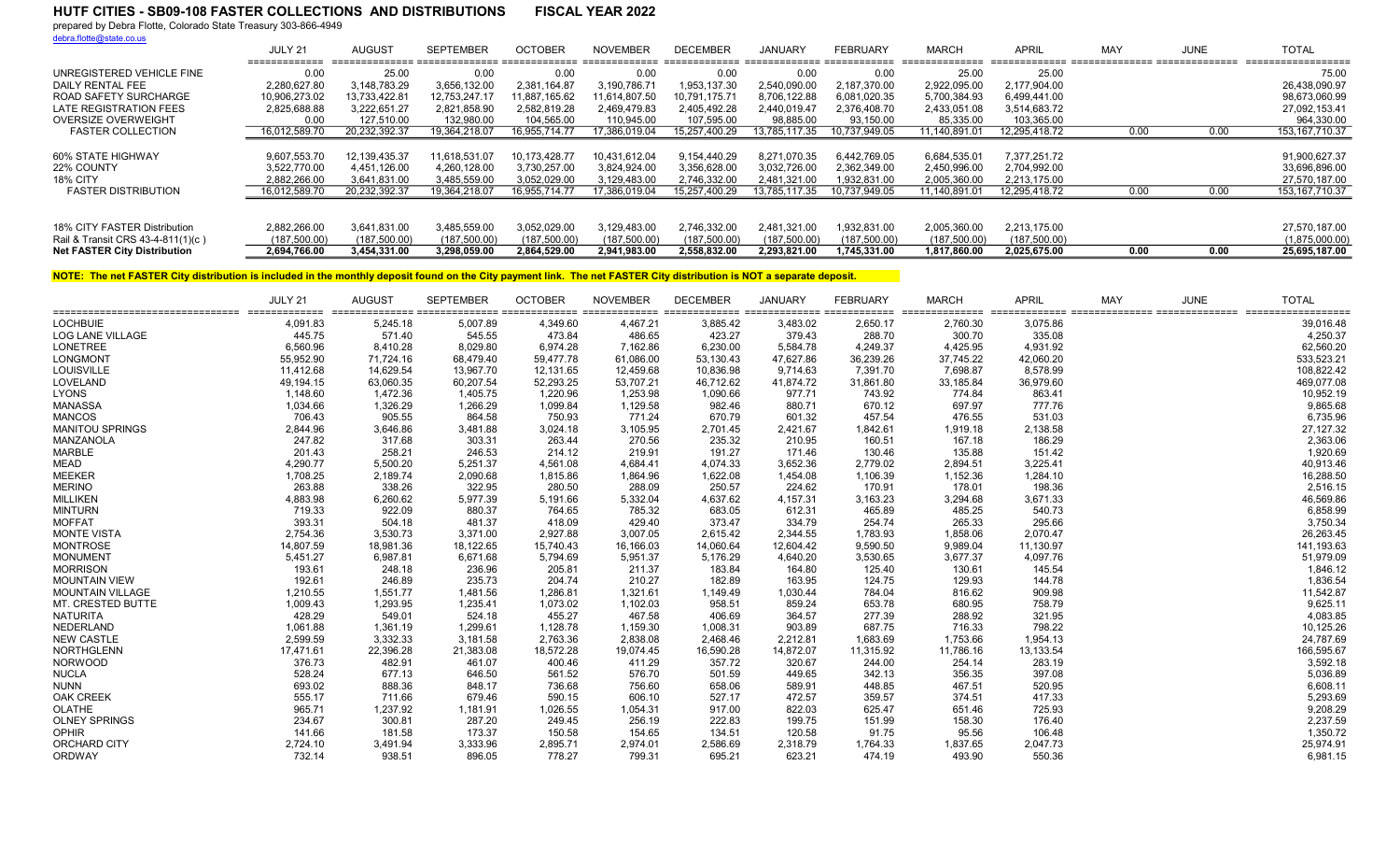prepared by Debra Flotte, Colorado State Treasury 303-866-4949

debra.flotte@state.co.us

|                                     | JULY 21<br>_____________ | AUGUST           | <b>SEPTEMBER</b> | <b>OCTOBER</b> | <b>NOVEMBER</b> | <b>DECEMBER</b> | JANUARY       | <b>FEBRUARY</b> | <b>MARCH</b><br>--------------- | APRII         | MA\  | <b>JUNE</b> | <b>TOTAL</b><br>------------------ |
|-------------------------------------|--------------------------|------------------|------------------|----------------|-----------------|-----------------|---------------|-----------------|---------------------------------|---------------|------|-------------|------------------------------------|
| UNREGISTERED VEHICLE FINE           | 0.00                     | 25.00            | 0.00             | 0.00           | 0.00            | 0.00            | 0.00          | 0.00            | 25.00                           | 25.00         |      |             | 75.00                              |
| DAILY RENTAL FEE                    | 2.280.627.80             | 3,148,783.29     | 3,656,132.00     | 2.381.164.87   | 3,190,786.71    | 1.953.137.30    | 2.540.090.00  | 2.187.370.00    | 2,922,095.00                    | 2.177.904.00  |      |             | 26,438,090.97                      |
| ROAD SAFETY SURCHARGE               | 10.906.273.02            | 13.733.422.81    | 12.753.247.17    | 11.887.165.62  | 1.614.807.50    | 10.791.175.71   | 8.706.122.88  | 6.081.020.35    | 5,700,384.93                    | 6.499.441.00  |      |             | 98.673.060.99                      |
| LATE REGISTRATION FEES              | 2.825.688.88             | 3.222.651.27     | 2.821.858.90     | 2.582.819.28   | 2.469.479.83    | 2.405.492.28    | 2.440.019.47  | 2.376.408.70    | 2,433,051.08                    | 3.514.683.72  |      |             | 27,092,153.41                      |
| <b>OVERSIZE OVERWEIGHT</b>          | 0.00                     | 127.510.00       | 132.980.00       | 104,565.00     | 110.945.00      | 107,595.00      | 98,885.00     | 93,150.00       | 85,335.00                       | 103,365.00    |      |             | 964.330.00                         |
| <b>FASTER COLLECTION</b>            | 16.012.589.70            | 20.232.392.37    | 19.364.218.07    | 6.955.714.77   | 7.386.019.04    | 15.257.400.29   | 13.785.117.35 | 10.737.949.05   | 11.140.891.01                   | 12.295.418.72 | 0.00 | 0.00        | 153, 167, 710.37                   |
|                                     |                          |                  |                  |                |                 |                 |               |                 |                                 |               |      |             |                                    |
| 60% STATE HIGHWAY                   | 9,607,553.70             | 12, 139, 435. 37 | 11,618,531.07    | 10,173,428.77  | 10,431,612.04   | 9.154.440.29    | 8,271,070.35  | 6,442,769.05    | 6,684,535.01                    | 7,377,251.72  |      |             | 91,900,627.37                      |
| 22% COUNTY                          | 3,522,770.00             | 4,451,126.00     | 4,260,128.00     | 3,730,257.00   | 3,824,924.00    | 3,356,628.00    | 3,032,726.00  | 2,362,349.00    | 2,450,996.00                    | 2,704,992.00  |      |             | 33,696,896.00                      |
| 18% CITY                            | 2.882.266.00             | 3.641.831.00     | 3.485.559.00     | 3.052.029.00   | 3.129.483.00    | 2.746.332.00    | 2.481.321.00  | 1.932.831.00    | 2.005.360.00                    | 2.213.175.00  |      |             | 27.570.187.00                      |
| <b>FASTER DISTRIBUTION</b>          | 16,012,589.70            | 20.232.392.37    | 19.364.218.07    | 16,955,714.77  | 17,386,019.04   | 15,257,400.29   | 13,785,117.35 | 10.737.949.05   | 11.140.891.01                   | 12.295.418.72 | 0.00 | 0.00        | 153, 167, 710. 37                  |
|                                     |                          |                  |                  |                |                 |                 |               |                 |                                 |               |      |             |                                    |
| 18% CITY FASTER Distribution        | 2.882.266.00             | 3.641,831.00     | 3.485.559.00     | 3.052.029.00   | 3.129.483.00    | 2.746.332.00    | 2.481.321.00  | .932.831.00     | 2.005.360.00                    | 2,213,175.00  |      |             | 27,570,187.00                      |
| Rail & Transit CRS 43-4-811(1)(c)   | (187,500.00)             | (187, 500.00)    | (187,500.00)     | (187,500.00)   | (187,500.00)    | (187,500.00)    | (187,500.00)  | (187,500.00)    | (187,500.00)                    | (187,500.00)  |      |             | (1,875,000.00)                     |
| <b>Net FASTER City Distribution</b> | 2.694.766.00             | 3.454.331.00     | 3.298.059.00     | 2.864.529.00   | 2.941.983.00    | 2.558.832.00    | 2.293.821.00  | 1.745.331.00    | 1.817.860.00                    | 2.025.675.00  | 0.00 | 0.00        | 25.695.187.00                      |

|                          | JULY 21   | AUGUS <sub>1</sub> | <b>SEPTEMBER</b> | <b>OCTOBER</b> | <b>NOVEMBER</b> | <b>DECEMBER</b> | <b>JANUARY</b> | <b>FEBRUARY</b> | <b>MARCH</b> | <b>APRIL</b> | MAY | <b>JUNE</b> | <b>TOTAL</b><br>sconditional conditional conditional conditional conditional conditional conditional conditional conditional conditional conditional conditional conditional conditional conditional conditional conditional conditional condi |
|--------------------------|-----------|--------------------|------------------|----------------|-----------------|-----------------|----------------|-----------------|--------------|--------------|-----|-------------|------------------------------------------------------------------------------------------------------------------------------------------------------------------------------------------------------------------------------------------------|
| <b>LOCHBUIE</b>          | 4,091.83  | 5,245.18           | 5,007.89         | 4,349.60       | 4,467.21        | 3,885.42        | 3,483.02       | 2,650.17        | 2,760.30     | 3,075.86     |     |             | 39,016.48                                                                                                                                                                                                                                      |
| <b>LOG LANE VILLAGE</b>  | 445.75    | 571.40             | 545.55           | 473.84         | 486.65          | 423.27          | 379.43         | 288.70          | 300.70       | 335.08       |     |             | 4,250.37                                                                                                                                                                                                                                       |
| <b>LONETREE</b>          | 6,560.96  | 8,410.28           | 8,029.80         | 6,974.28       | 7,162.86        | 6,230.00        | 5,584.78       | 4,249.37        | 4,425.95     | 4,931.92     |     |             | 62,560.20                                                                                                                                                                                                                                      |
| <b>LONGMONT</b>          | 55,952.90 | 71.724.16          | 68,479.40        | 59,477.78      | 61,086.00       | 53,130.43       | 47,627.86      | 36,239.26       | 37,745.22    | 42,060.20    |     |             | 533,523.21                                                                                                                                                                                                                                     |
| LOUISVILLE               | 11,412.68 | 14,629.54          | 13,967.70        | 12,131.65      | 12,459.68       | 10,836.98       | 9,714.63       | 7,391.70        | 7,698.87     | 8,578.99     |     |             | 108,822.42                                                                                                                                                                                                                                     |
| LOVELAND                 | 49,194.15 | 63,060.35          | 60,207.54        | 52,293.25      | 53,707.21       | 46,712.62       | 41,874.72      | 31,861.80       | 33,185.84    | 36,979.60    |     |             | 469,077.08                                                                                                                                                                                                                                     |
| <b>LYONS</b>             | 1,148.60  | 1,472.36           | 1,405.75         | 1,220.96       | 1,253.98        | 1,090.66        | 977.71         | 743.92          | 774.84       | 863.41       |     |             | 10,952.19                                                                                                                                                                                                                                      |
| <b>MANASSA</b>           | 1,034.66  | 1,326.29           | 1,266.29         | 1,099.84       | 1,129.58        | 982.46          | 880.71         | 670.12          | 697.97       | 777.76       |     |             | 9,865.68                                                                                                                                                                                                                                       |
| <b>MANCOS</b>            | 706.43    | 905.55             | 864.58           | 750.93         | 771.24          | 670.79          | 601.32         | 457.54          | 476.55       | 531.03       |     |             | 6,735.96                                                                                                                                                                                                                                       |
| <b>MANITOU SPRINGS</b>   | 2,844.96  | 3,646.86           | 3,481.88         | 3,024.18       | 3,105.95        | 2,701.45        | 2,421.67       | 1,842.61        | 1,919.18     | 2,138.58     |     |             | 27,127.32                                                                                                                                                                                                                                      |
| MANZANOLA                | 247.82    | 317.68             | 303.31           | 263.44         | 270.56          | 235.32          | 210.95         | 160.51          | 167.18       | 186.29       |     |             | 2,363.06                                                                                                                                                                                                                                       |
| <b>MARBLE</b>            | 201.43    | 258.21             | 246.53           | 214.12         | 219.91          | 191.27          | 171.46         | 130.46          | 135.88       | 151.42       |     |             | 1,920.69                                                                                                                                                                                                                                       |
| <b>MEAD</b>              | 4,290.77  | 5,500.20           | 5,251.37         | 4,561.08       | 4,684.41        | 4,074.33        | 3,652.36       | 2,779.02        | 2,894.51     | 3,225.41     |     |             | 40,913.46                                                                                                                                                                                                                                      |
| <b>MEEKER</b>            | 1,708.25  | 2,189.74           | 2,090.68         | 1,815.86       | 1,864.96        | 1,622.08        | 1,454.08       | 1,106.39        | 1,152.36     | 1,284.10     |     |             | 16,288.50                                                                                                                                                                                                                                      |
| <b>MERINO</b>            | 263.88    | 338.26             | 322.95           | 280.50         | 288.09          | 250.57          | 224.62         | 170.91          | 178.01       | 198.36       |     |             | 2,516.15                                                                                                                                                                                                                                       |
| <b>MILLIKEN</b>          | 4,883.98  | 6,260.62           | 5,977.39         | 5,191.66       | 5,332.04        | 4,637.62        | 4,157.31       | 3,163.23        | 3,294.68     | 3,671.33     |     |             | 46,569.86                                                                                                                                                                                                                                      |
| <b>MINTURN</b>           | 719.33    | 922.09             | 880.37           | 764.65         | 785.32          | 683.05          | 612.31         | 465.89          | 485.25       | 540.73       |     |             | 6,858.99                                                                                                                                                                                                                                       |
| <b>MOFFAT</b>            | 393.31    | 504.18             | 481.37           | 418.09         | 429.40          | 373.47          | 334.79         | 254.74          | 265.33       | 295.66       |     |             | 3,750.34                                                                                                                                                                                                                                       |
| <b>MONTE VISTA</b>       | 2,754.36  | 3,530.73           | 3,371.00         | 2,927.88       | 3,007.05        | 2,615.42        | 2,344.55       | 1,783.93        | 1,858.06     | 2,070.47     |     |             | 26,263.45                                                                                                                                                                                                                                      |
| <b>MONTROSE</b>          | 14,807.59 | 18,981.36          | 18,122.65        | 15,740.43      | 16,166.03       | 14,060.64       | 12,604.42      | 9,590.50        | 9,989.04     | 11,130.97    |     |             | 141,193.63                                                                                                                                                                                                                                     |
| <b>MONUMENT</b>          | 5,451.27  | 6,987.81           | 6,671.68         | 5,794.69       | 5,951.37        | 5,176.29        | 4,640.20       | 3,530.65        | 3,677.37     | 4,097.76     |     |             | 51,979.09                                                                                                                                                                                                                                      |
| <b>MORRISON</b>          | 193.61    | 248.18             | 236.96           | 205.81         | 211.37          | 183.84          | 164.80         | 125.40          | 130.61       | 145.54       |     |             | 1,846.12                                                                                                                                                                                                                                       |
| <b>MOUNTAIN VIEW</b>     | 192.61    | 246.89             | 235.73           | 204.74         | 210.27          | 182.89          | 163.95         | 124.75          | 129.93       | 144.78       |     |             | 1,836.54                                                                                                                                                                                                                                       |
| <b>MOUNTAIN VILLAGE</b>  | 1,210.55  | 1,551.77           | 1,481.56         | 1,286.81       | 1,321.61        | 1,149.49        | 1,030.44       | 784.04          | 816.62       | 909.98       |     |             | 11,542.87                                                                                                                                                                                                                                      |
| <b>MT. CRESTED BUTTE</b> | 1,009.43  | 1,293.95           | 1,235.41         | 1,073.02       | 1,102.03        | 958.51          | 859.24         | 653.78          | 680.95       | 758.79       |     |             | 9,625.11                                                                                                                                                                                                                                       |
| <b>NATURITA</b>          | 428.29    | 549.01             | 524.18           | 455.27         | 467.58          | 406.69          | 364.57         | 277.39          | 288.92       | 321.95       |     |             | 4,083.85                                                                                                                                                                                                                                       |
| NEDERLAND                | 1,061.88  | 1,361.19           | 1,299.61         | 1,128.78       | 1,159.30        | 1,008.31        | 903.89         | 687.75          | 716.33       | 798.22       |     |             | 10,125.26                                                                                                                                                                                                                                      |
| <b>NEW CASTLE</b>        | 2,599.59  | 3.332.33           | 3,181.58         | 2,763.36       | 2,838.08        | 2.468.46        | 2,212.81       | 1,683.69        | 1,753.66     | 1,954.13     |     |             | 24,787.69                                                                                                                                                                                                                                      |
| <b>NORTHGLENN</b>        | 17,471.61 | 22,396.28          | 21,383.08        | 18,572.28      | 19,074.45       | 16,590.28       | 14,872.07      | 11,315.92       | 11,786.16    | 13,133.54    |     |             | 166,595.67                                                                                                                                                                                                                                     |
| <b>NORWOOD</b>           | 376.73    | 482.91             | 461.07           | 400.46         | 411.29          | 357.72          | 320.67         | 244.00          | 254.14       | 283.19       |     |             | 3,592.18                                                                                                                                                                                                                                       |
| <b>NUCLA</b>             | 528.24    | 677.13             | 646.50           | 561.52         | 576.70          | 501.59          | 449.65         | 342.13          | 356.35       | 397.08       |     |             | 5,036.89                                                                                                                                                                                                                                       |
| <b>NUNN</b>              | 693.02    | 888.36             | 848.17           | 736.68         | 756.60          | 658.06          | 589.91         | 448.85          | 467.51       | 520.95       |     |             | 6,608.11                                                                                                                                                                                                                                       |
| <b>OAK CREEK</b>         | 555.17    | 711.66             | 679.46           | 590.15         | 606.10          | 527.17          | 472.57         | 359.57          | 374.51       | 417.33       |     |             | 5,293.69                                                                                                                                                                                                                                       |
| OLATHE                   | 965.71    | 1,237.92           | 1,181.91         | 1,026.55       | 1,054.31        | 917.00          | 822.03         | 625.47          | 651.46       | 725.93       |     |             | 9,208.29                                                                                                                                                                                                                                       |
| <b>OLNEY SPRINGS</b>     | 234.67    | 300.81             | 287.20           | 249.45         | 256.19          | 222.83          | 199.75         | 151.99          | 158.30       | 176.40       |     |             | 2,237.59                                                                                                                                                                                                                                       |
| <b>OPHIR</b>             | 141.66    | 181.58             | 173.37           | 150.58         | 154.65          | 134.51          | 120.58         | 91.75           | 95.56        | 106.48       |     |             | 1,350.72                                                                                                                                                                                                                                       |
| ORCHARD CITY             | 2,724.10  | 3,491.94           | 3,333.96         | 2,895.71       | 2,974.01        | 2,586.69        | 2,318.79       | 1,764.33        | 1,837.65     | 2,047.73     |     |             | 25,974.91                                                                                                                                                                                                                                      |
| ORDWAY                   | 732.14    | 938.51             | 896.05           | 778.27         | 799.31          | 695.21          | 623.21         | 474.19          | 493.90       | 550.36       |     |             | 6,981.15                                                                                                                                                                                                                                       |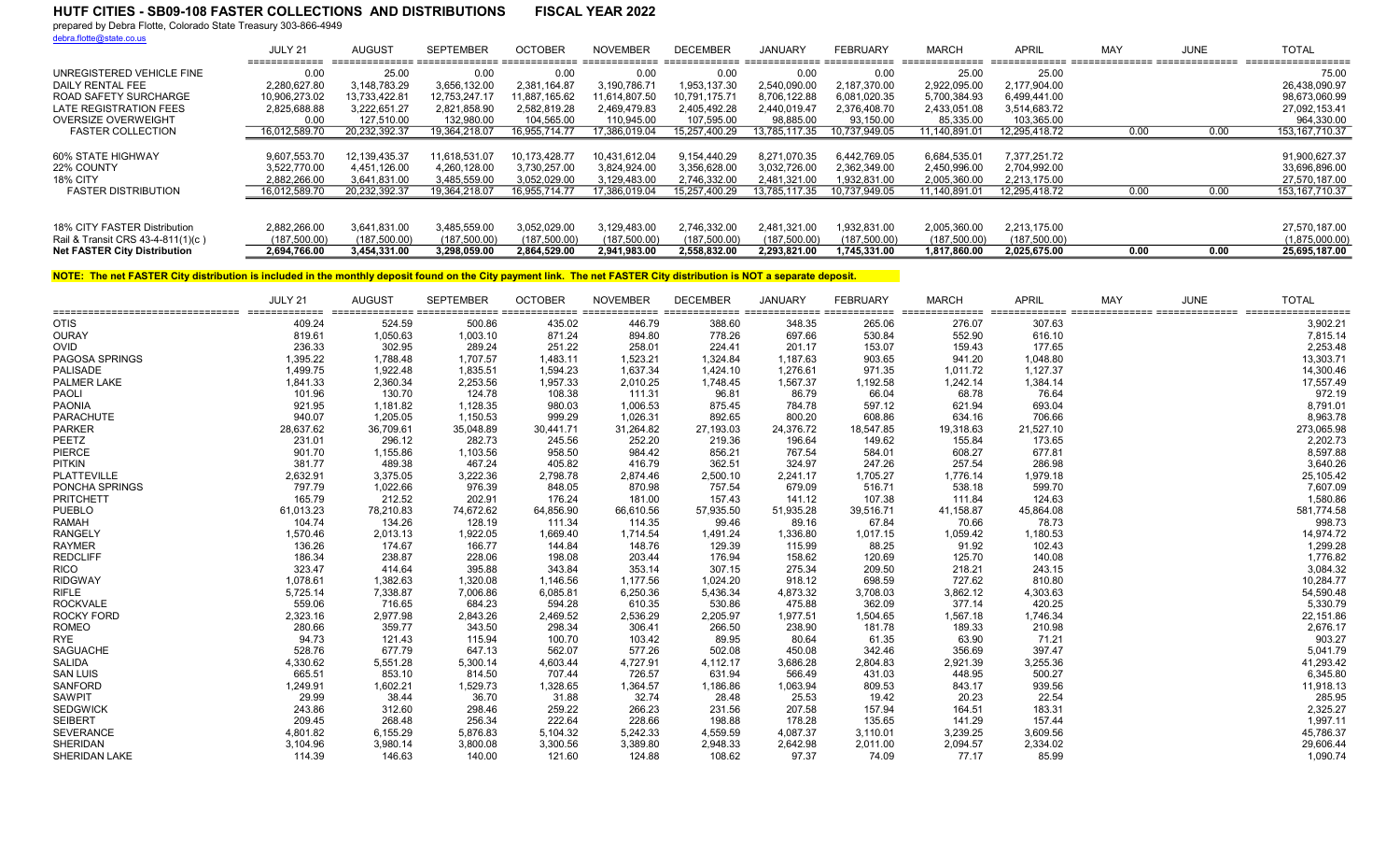prepared by Debra Flotte, Colorado State Treasury 303-866-4949

debra.flotte@state.co.us

|                                     | JULY 21       | AUGUST        | <b>SEPTEMBER</b> | <b>OCTOBER</b> | <b>NOVEMBER</b> | <b>DECEMBER</b> | <b>JANUARY</b> | FEBRUARY      | <b>MARCH</b>  | <b>APRIL</b>  | MAY  | <b>JUNE</b> | <b>TOTAL</b>      |
|-------------------------------------|---------------|---------------|------------------|----------------|-----------------|-----------------|----------------|---------------|---------------|---------------|------|-------------|-------------------|
| UNREGISTERED VEHICLE FINE           | 0.00          | 25.00         | 0.00             | 0.00           | 0.00            | 0.00            | 0.00           | 0.00          | 25.00         | 25.00         |      |             | 75.00             |
| DAILY RENTAL FEE                    | 2.280.627.80  | 3.148.783.29  | 3.656.132.00     | 2.381.164.87   | 3.190.786.71    | 1,953,137.30    | 2.540.090.00   | 2.187.370.00  | 2.922.095.00  | 2.177.904.00  |      |             | 26.438.090.97     |
| ROAD SAFETY SURCHARGE               | 10.906.273.02 | 13.733.422.81 | 12.753.247.17    | 11.887.165.62  | 11.614.807.50   | 10.791.175.71   | 8.706.122.88   | 6,081,020.35  | 5,700,384.93  | 6,499,441.00  |      |             | 98,673,060.99     |
| LATE REGISTRATION FEES              | 2.825.688.88  | 3.222.651.27  | 2,821,858.90     | 2.582.819.28   | 2.469.479.83    | 2.405.492.28    | 2.440.019.47   | 2.376.408.70  | 2,433,051.08  | 3,514,683.72  |      |             | 27,092,153.41     |
| OVERSIZE OVERWEIGHT                 | 0.00          | 127.510.00    | 132.980.00       | 104.565.00     | 110.945.00      | 107.595.00      | 98.885.00      | 93.150.00     | 85.335.00     | 103.365.00    |      |             | 964.330.00        |
| <b>FASTER COLLECTION</b>            | 16,012,589.70 | 20,232,392.37 | 19,364,218.07    | 16,955,714.77  | 17,386,019.04   | 15,257,400.29   | 13,785,117.35  | 10,737,949.05 | 11,140,891.01 | 12,295,418.72 | 0.00 | 0.00        | 153, 167, 710. 37 |
|                                     |               |               |                  |                |                 |                 |                |               |               |               |      |             |                   |
| 60% STATE HIGHWAY                   | 9,607,553.70  | 12,139,435.37 | 11.618.531.07    | 10.173.428.77  | 10,431,612.04   | 9.154.440.29    | 8.271.070.35   | 6,442,769.05  | 6,684,535.01  | 7.377.251.72  |      |             | 91,900,627.37     |
| 22% COUNTY                          | 3.522.770.00  | 4,451,126.00  | 4,260,128.00     | 3.730.257.00   | 3.824.924.00    | 3.356.628.00    | 3.032.726.00   | 2.362.349.00  | 2,450,996.00  | 2.704.992.00  |      |             | 33,696,896.00     |
| 18% CITY                            | 2.882.266.00  | 3,641,831.00  | 3,485,559.00     | 3.052.029.00   | 3,129,483.00    | 2,746,332.00    | 2,481,321.00   | 1,932,831.00  | 2,005,360.00  | 2,213,175.00  |      |             | 27,570,187.00     |
| <b>FASTER DISTRIBUTION</b>          | 16.012.589.70 | 20.232.392.37 | 19.364.218.07    | 16.955.714.77  | 17.386.019.04   | 15.257.400.29   | 13.785.117.35  | 10.737.949.05 | 11.140.891.01 | 12.295.418.72 | 0.00 | 0.00        | 153, 167, 710.37  |
|                                     |               |               |                  |                |                 |                 |                |               |               |               |      |             |                   |
| 18% CITY FASTER Distribution        | 2.882.266.00  | 3.641.831.00  | 3,485,559.00     | 3.052.029.00   | 3.129.483.00    | 2,746,332.00    | 2.481.321.00   | 1,932,831.00  | 2,005,360.00  | 2.213.175.00  |      |             | 27,570,187.00     |
| Rail & Transit CRS 43-4-811(1)(c)   | (187.500.00)  | (187,500.00)  | (187,500.00)     | (187.500.00)   | (187.500.00)    | (187,500.00)    | (187.500.00)   | (187, 500.00) | (187.500.00)  | (187,500.00)  |      |             | (1,875,000.00)    |
| <b>Net FASTER City Distribution</b> | 2,694,766.00  | 3,454,331.00  | 3.298.059.00     | 2.864.529.00   | 2.941.983.00    | 2.558.832.00    | 2.293.821.00   | 1.745.331.00  | 1.817.860.00  | 2.025.675.00  | 0.00 | 0.00        | 25,695,187.00     |

| ================================== | JULY 21<br>============= | <b>AUGUST</b> | <b>SEPTEMBER</b> | <b>OCTOBER</b> | <b>NOVEMBER</b> | <b>DECEMBER</b> | <b>JANUARY</b> | <b>FEBRUARY</b> | <b>MARCH</b> | <b>APRIL</b> | <b>MAY</b> | <b>JUNE</b> | <b>TOTAL</b><br>scondicidient diesendenden diesendenden diesendenden diesendenden diesendenden diesendenden diesendenden diesendenden diesendendenden |
|------------------------------------|--------------------------|---------------|------------------|----------------|-----------------|-----------------|----------------|-----------------|--------------|--------------|------------|-------------|-------------------------------------------------------------------------------------------------------------------------------------------------------|
| <b>OTIS</b>                        | 409.24                   | 524.59        | 500.86           | 435.02         | 446.79          | 388.60          | 348.35         | 265.06          | 276.07       | 307.63       |            |             | 3,902.21                                                                                                                                              |
| <b>OURAY</b>                       | 819.61                   | 1,050.63      | 1,003.10         | 871.24         | 894.80          | 778.26          | 697.66         | 530.84          | 552.90       | 616.10       |            |             | 7,815.14                                                                                                                                              |
| OVID                               | 236.33                   | 302.95        | 289.24           | 251.22         | 258.01          | 224.41          | 201.17         | 153.07          | 159.43       | 177.65       |            |             | 2,253.48                                                                                                                                              |
| <b>PAGOSA SPRINGS</b>              | 1,395.22                 | 1,788.48      | 1,707.57         | 1,483.11       | 1,523.21        | 1,324.84        | 1,187.63       | 903.65          | 941.20       | 1,048.80     |            |             | 13,303.71                                                                                                                                             |
| <b>PALISADE</b>                    | 1,499.75                 | 1,922.48      | 1,835.51         | 1,594.23       | 1,637.34        | 1,424.10        | 1,276.61       | 971.35          | 1,011.72     | 1,127.37     |            |             | 14,300.46                                                                                                                                             |
| PALMER LAKE                        | 1,841.33                 | 2,360.34      | 2,253.56         | 1,957.33       | 2,010.25        | 1,748.45        | 1,567.37       | 1,192.58        | 1,242.14     | 1,384.14     |            |             | 17,557.49                                                                                                                                             |
| PAOLI                              | 101.96                   | 130.70        | 124.78           | 108.38         | 111.31          | 96.81           | 86.79          | 66.04           | 68.78        | 76.64        |            |             | 972.19                                                                                                                                                |
| <b>PAONIA</b>                      | 921.95                   | 1,181.82      | 1,128.35         | 980.03         | 1,006.53        | 875.45          | 784.78         | 597.12          | 621.94       | 693.04       |            |             | 8,791.01                                                                                                                                              |
| <b>PARACHUTE</b>                   | 940.07                   | 1,205.05      | 1,150.53         | 999.29         | 1,026.31        | 892.65          | 800.20         | 608.86          | 634.16       | 706.66       |            |             | 8,963.78                                                                                                                                              |
| <b>PARKER</b>                      | 28,637.62                | 36,709.61     | 35,048.89        | 30,441.71      | 31,264.82       | 27,193.03       | 24,376.72      | 18,547.85       | 19,318.63    | 21,527.10    |            |             | 273,065.98                                                                                                                                            |
| PEETZ                              | 231.01                   | 296.12        | 282.73           | 245.56         | 252.20          | 219.36          | 196.64         | 149.62          | 155.84       | 173.65       |            |             | 2,202.73                                                                                                                                              |
| PIERCE                             | 901.70                   | 1,155.86      | 1,103.56         | 958.50         | 984.42          | 856.21          | 767.54         | 584.01          | 608.27       | 677.81       |            |             | 8,597.88                                                                                                                                              |
| <b>PITKIN</b>                      | 381.77                   | 489.38        | 467.24           | 405.82         | 416.79          | 362.51          | 324.97         | 247.26          | 257.54       | 286.98       |            |             | 3,640.26                                                                                                                                              |
| PLATTEVILLE                        | 2,632.91                 | 3.375.05      | 3,222.36         | 2,798.78       | 2,874.46        | 2,500.10        | 2,241.17       | 1,705.27        | 1,776.14     | 1,979.18     |            |             | 25,105.42                                                                                                                                             |
| PONCHA SPRINGS                     | 797.79                   | 1,022.66      | 976.39           | 848.05         | 870.98          | 757.54          | 679.09         | 516.71          | 538.18       | 599.70       |            |             | 7,607.09                                                                                                                                              |
| PRITCHETT                          | 165.79                   | 212.52        | 202.91           | 176.24         | 181.00          | 157.43          | 141.12         | 107.38          | 111.84       | 124.63       |            |             | 1,580.86                                                                                                                                              |
| <b>PUEBLO</b>                      | 61,013.23                | 78,210.83     | 74,672.62        | 64,856.90      | 66,610.56       | 57,935.50       | 51,935.28      | 39,516.71       | 41,158.87    | 45,864.08    |            |             | 581,774.58                                                                                                                                            |
| <b>RAMAH</b>                       | 104.74                   | 134.26        | 128.19           | 111.34         | 114.35          | 99.46           | 89.16          | 67.84           | 70.66        | 78.73        |            |             | 998.73                                                                                                                                                |
| <b>RANGELY</b>                     | 1,570.46                 | 2,013.13      | 1,922.05         | 1,669.40       | 1,714.54        | 1,491.24        | 1,336.80       | 1,017.15        | 1,059.42     | 1,180.53     |            |             | 14,974.72                                                                                                                                             |
| <b>RAYMER</b>                      | 136.26                   | 174.67        | 166.77           | 144.84         | 148.76          | 129.39          | 115.99         | 88.25           | 91.92        | 102.43       |            |             | 1,299.28                                                                                                                                              |
| <b>REDCLIFF</b>                    | 186.34                   | 238.87        | 228.06           | 198.08         | 203.44          | 176.94          | 158.62         | 120.69          | 125.70       | 140.08       |            |             | 1,776.82                                                                                                                                              |
| <b>RICO</b>                        | 323.47                   | 414.64        | 395.88           | 343.84         | 353.14          | 307.15          | 275.34         | 209.50          | 218.21       | 243.15       |            |             | 3,084.32                                                                                                                                              |
| <b>RIDGWAY</b>                     | 1,078.61                 | 1,382.63      | 1,320.08         | 1,146.56       | 1,177.56        | 1,024.20        | 918.12         | 698.59          | 727.62       | 810.80       |            |             | 10,284.77                                                                                                                                             |
| <b>RIFLE</b>                       | 5,725.14                 | 7,338.87      | 7,006.86         | 6,085.81       | 6,250.36        | 5,436.34        | 4,873.32       | 3,708.03        | 3,862.12     | 4,303.63     |            |             | 54,590.48                                                                                                                                             |
| <b>ROCKVALE</b>                    | 559.06                   | 716.65        | 684.23           | 594.28         | 610.35          | 530.86          | 475.88         | 362.09          | 377.14       | 420.25       |            |             | 5,330.79                                                                                                                                              |
| ROCKY FORD                         | 2,323.16                 | 2,977.98      | 2,843.26         | 2,469.52       | 2,536.29        | 2,205.97        | 1,977.51       | 1,504.65        | 1,567.18     | 1,746.34     |            |             | 22,151.86                                                                                                                                             |
| <b>ROMEO</b>                       | 280.66                   | 359.77        | 343.50           | 298.34         | 306.41          | 266.50          | 238.90         | 181.78          | 189.33       | 210.98       |            |             | 2,676.17                                                                                                                                              |
| <b>RYE</b>                         | 94.73                    | 121.43        | 115.94           | 100.70         | 103.42          | 89.95           | 80.64          | 61.35           | 63.90        | 71.21        |            |             | 903.27                                                                                                                                                |
| <b>SAGUACHE</b>                    | 528.76                   | 677.79        | 647.13           | 562.07         | 577.26          | 502.08          | 450.08         | 342.46          | 356.69       | 397.47       |            |             | 5,041.79                                                                                                                                              |
| <b>SALIDA</b>                      | 4,330.62                 | 5,551.28      | 5,300.14         | 4,603.44       | 4,727.91        | 4,112.17        | 3,686.28       | 2,804.83        | 2,921.39     | 3,255.36     |            |             | 41,293.42                                                                                                                                             |
| <b>SAN LUIS</b>                    | 665.51                   | 853.10        | 814.50           | 707.44         | 726.57          | 631.94          | 566.49         | 431.03          | 448.95       | 500.27       |            |             | 6,345.80                                                                                                                                              |
| <b>SANFORD</b>                     | 1,249.91                 | 1,602.21      | 1,529.73         | 1,328.65       | 1,364.57        | 1,186.86        | 1,063.94       | 809.53          | 843.17       | 939.56       |            |             | 11,918.13                                                                                                                                             |
| <b>SAWPIT</b>                      | 29.99                    | 38.44         | 36.70            | 31.88          | 32.74           | 28.48           | 25.53          | 19.42           | 20.23        | 22.54        |            |             | 285.95                                                                                                                                                |
| <b>SEDGWICK</b>                    | 243.86                   | 312.60        | 298.46           | 259.22         | 266.23          | 231.56          | 207.58         | 157.94          | 164.51       | 183.31       |            |             | 2,325.27                                                                                                                                              |
| <b>SEIBERT</b>                     | 209.45                   | 268.48        | 256.34           | 222.64         | 228.66          | 198.88          | 178.28         | 135.65          | 141.29       | 157.44       |            |             | 1,997.11                                                                                                                                              |
| <b>SEVERANCE</b>                   | 4,801.82                 | 6,155.29      | 5,876.83         | 5,104.32       | 5,242.33        | 4,559.59        | 4,087.37       | 3,110.01        | 3,239.25     | 3,609.56     |            |             | 45,786.37                                                                                                                                             |
| <b>SHERIDAN</b>                    | 3,104.96                 | 3,980.14      | 3,800.08         | 3,300.56       | 3,389.80        | 2,948.33        | 2,642.98       | 2,011.00        | 2,094.57     | 2,334.02     |            |             | 29,606.44                                                                                                                                             |
| <b>SHERIDAN LAKE</b>               | 114.39                   | 146.63        | 140.00           | 121.60         | 124.88          | 108.62          | 97.37          | 74.09           | 77.17        | 85.99        |            |             | 1,090.74                                                                                                                                              |